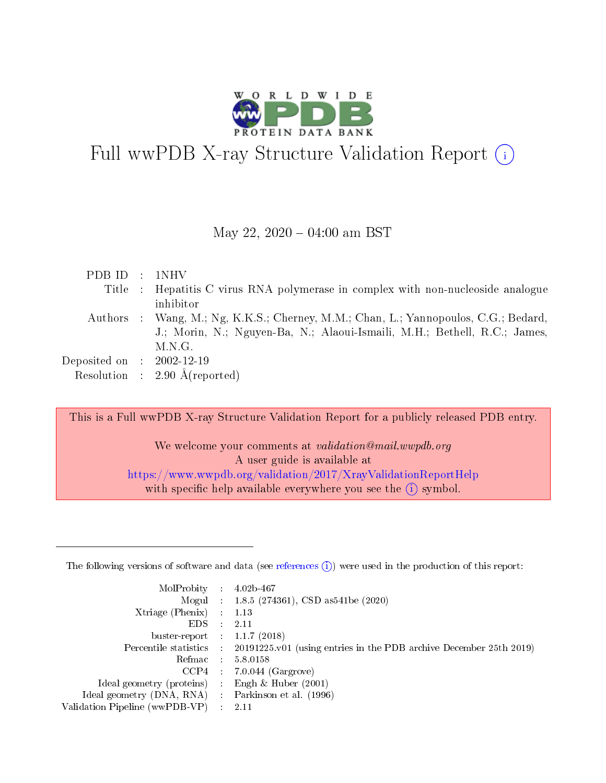

# Full wwPDB X-ray Structure Validation Report (i)

#### May 22,  $2020 - 04:00$  am BST

| PDB ID : 1NHV               |                                                                                     |
|-----------------------------|-------------------------------------------------------------------------------------|
|                             | Title : Hepatitis C virus RNA polymerase in complex with non-nucleoside analogue    |
|                             | inhibitor                                                                           |
|                             | Authors : Wang, M.; Ng, K.K.S.; Cherney, M.M.; Chan, L.; Yannopoulos, C.G.; Bedard, |
|                             | J.; Morin, N.; Nguyen-Ba, N.; Alaoui-Ismaili, M.H.; Bethell, R.C.; James,           |
|                             | M.N.G.                                                                              |
| Deposited on : $2002-12-19$ |                                                                                     |
|                             | Resolution : $2.90 \text{ Å}$ (reported)                                            |

This is a Full wwPDB X-ray Structure Validation Report for a publicly released PDB entry.

We welcome your comments at validation@mail.wwpdb.org A user guide is available at <https://www.wwpdb.org/validation/2017/XrayValidationReportHelp> with specific help available everywhere you see the  $(i)$  symbol.

The following versions of software and data (see [references](https://www.wwpdb.org/validation/2017/XrayValidationReportHelp#references)  $(1)$ ) were used in the production of this report:

| MolProbity :                   |               | $4.02b - 467$                                                                |
|--------------------------------|---------------|------------------------------------------------------------------------------|
|                                |               | Mogul : 1.8.5 (274361), CSD as 541be (2020)                                  |
| $X$ triage (Phenix) :          |               | 1.13                                                                         |
| EDS.                           |               | 2.11                                                                         |
| buster-report : $1.1.7$ (2018) |               |                                                                              |
| Percentile statistics :        |               | $20191225 \text{ v}01$ (using entries in the PDB archive December 25th 2019) |
| Refmac :                       |               | 5.8.0158                                                                     |
| $CCP4$ :                       |               | $7.0.044$ (Gargrove)                                                         |
| Ideal geometry (proteins) :    |               | Engh $\&$ Huber (2001)                                                       |
| Ideal geometry (DNA, RNA) :    |               | Parkinson et al. (1996)                                                      |
| Validation Pipeline (wwPDB-VP) | $\mathcal{L}$ | 2.11                                                                         |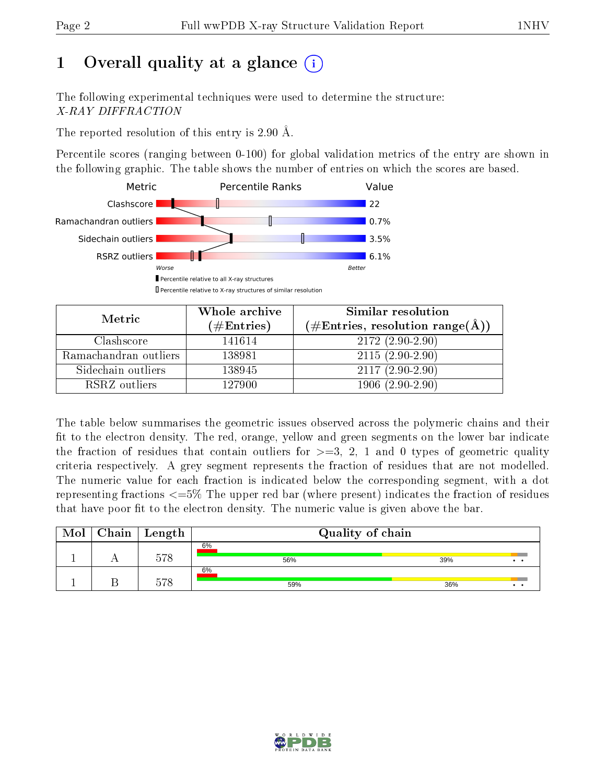# 1 [O](https://www.wwpdb.org/validation/2017/XrayValidationReportHelp#overall_quality)verall quality at a glance  $(i)$

The following experimental techniques were used to determine the structure: X-RAY DIFFRACTION

The reported resolution of this entry is 2.90 Å.

Percentile scores (ranging between 0-100) for global validation metrics of the entry are shown in the following graphic. The table shows the number of entries on which the scores are based.



| Metric                | Whole archive        | Similar resolution                                        |  |  |
|-----------------------|----------------------|-----------------------------------------------------------|--|--|
|                       | $(\#\text{Entries})$ | $(\#\text{Entries}, \text{resolution range}(\text{\AA}))$ |  |  |
| Clashscore            | 141614               | $2172(2.90-2.90)$                                         |  |  |
| Ramachandran outliers | 138981               | $2115(2.90-2.90)$                                         |  |  |
| Sidechain outliers    | 138945               | $2117(2.90-2.90)$                                         |  |  |
| RSRZ outliers         | 127900               | $1906(2.90-2.90)$                                         |  |  |

The table below summarises the geometric issues observed across the polymeric chains and their fit to the electron density. The red, orange, yellow and green segments on the lower bar indicate the fraction of residues that contain outliers for  $\geq=3$ , 2, 1 and 0 types of geometric quality criteria respectively. A grey segment represents the fraction of residues that are not modelled. The numeric value for each fraction is indicated below the corresponding segment, with a dot representing fractions  $\epsilon = 5\%$  The upper red bar (where present) indicates the fraction of residues that have poor fit to the electron density. The numeric value is given above the bar.

| Mol | Chain | Length | Quality of chain |                             |
|-----|-------|--------|------------------|-----------------------------|
|     |       |        | 6%               |                             |
|     |       | 578    | 56%              | 39%<br>$\ddot{\phantom{a}}$ |
|     |       |        | 6%               |                             |
|     |       | 570    | 59%              | 36%<br>$\ddot{\phantom{a}}$ |

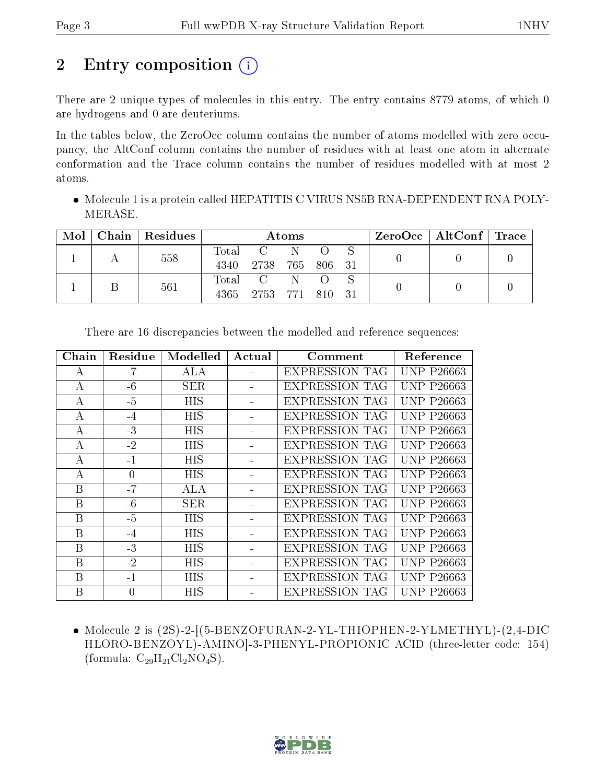# 2 Entry composition  $\left( \cdot \right)$

There are 2 unique types of molecules in this entry. The entry contains 8779 atoms, of which 0 are hydrogens and 0 are deuteriums.

In the tables below, the ZeroOcc column contains the number of atoms modelled with zero occupancy, the AltConf column contains the number of residues with at least one atom in alternate conformation and the Trace column contains the number of residues modelled with at most 2 atoms.

 Molecule 1 is a protein called HEPATITIS C VIRUS NS5B RNA-DEPENDENT RNA POLY-MERASE.

| Mol | Chain   Residues | Atoms         |                      |             |        |  | $\rm ZeroOcc \mid AltConf \mid Trace$ |  |
|-----|------------------|---------------|----------------------|-------------|--------|--|---------------------------------------|--|
|     | 558              | Total<br>4340 | 2738                 | 765         | 806 31 |  |                                       |  |
|     | 561              | Total<br>4365 | $\mathbf{C}$<br>2753 | -N<br>- 771 | - 810  |  |                                       |  |

| Chain            | Residue  | Modelled   | Actual | Comment               | Reference         |
|------------------|----------|------------|--------|-----------------------|-------------------|
| A                | $-7$     | ALA        |        | <b>EXPRESSION TAG</b> | <b>UNP P26663</b> |
| А                | $-6$     | <b>SER</b> |        | <b>EXPRESSION TAG</b> | <b>UNP P26663</b> |
| А                | $-5$     | <b>HIS</b> |        | <b>EXPRESSION TAG</b> | <b>UNP P26663</b> |
| А                | $-4$     | HIS        |        | <b>EXPRESSION TAG</b> | <b>UNP P26663</b> |
| $\boldsymbol{A}$ | $-3$     | <b>HIS</b> |        | <b>EXPRESSION TAG</b> | <b>UNP P26663</b> |
| А                | $-2$     | <b>HIS</b> |        | <b>EXPRESSION TAG</b> | <b>UNP P26663</b> |
| А                | $-1$     | HIS        |        | <b>EXPRESSION TAG</b> | <b>UNP P26663</b> |
| $\boldsymbol{A}$ | $\theta$ | HIS        |        | <b>EXPRESSION TAG</b> | <b>UNP P26663</b> |
| B                | $-7$     | ALA        |        | <b>EXPRESSION TAG</b> | <b>UNP P26663</b> |
| B                | $-6$     | SER.       |        | <b>EXPRESSION TAG</b> | <b>UNP P26663</b> |
| B                | $-5$     | <b>HIS</b> |        | <b>EXPRESSION TAG</b> | <b>UNP P26663</b> |
| B                | $-4$     | HIS        |        | <b>EXPRESSION TAG</b> | <b>UNP P26663</b> |
| B                | $-3$     | HIS        |        | <b>EXPRESSION TAG</b> | <b>UNP P26663</b> |
| B                | $-2$     | <b>HIS</b> |        | <b>EXPRESSION TAG</b> | <b>UNP P26663</b> |
| B                | $-1$     | HIS        |        | <b>EXPRESSION TAG</b> | <b>UNP P26663</b> |
| B                | $\theta$ | HIS        |        | <b>EXPRESSION TAG</b> | <b>UNP P26663</b> |

There are 16 discrepancies between the modelled and reference sequences:

 Molecule 2 is (2S)-2-[(5-BENZOFURAN-2-YL-THIOPHEN-2-YLMETHYL)-(2,4-DIC HLORO-BENZOYL)-AMINO]-3-PHENYL-PROPIONIC ACID (three-letter code: 154) (formula:  $C_{29}H_{21}Cl_2NO_4S$ ).

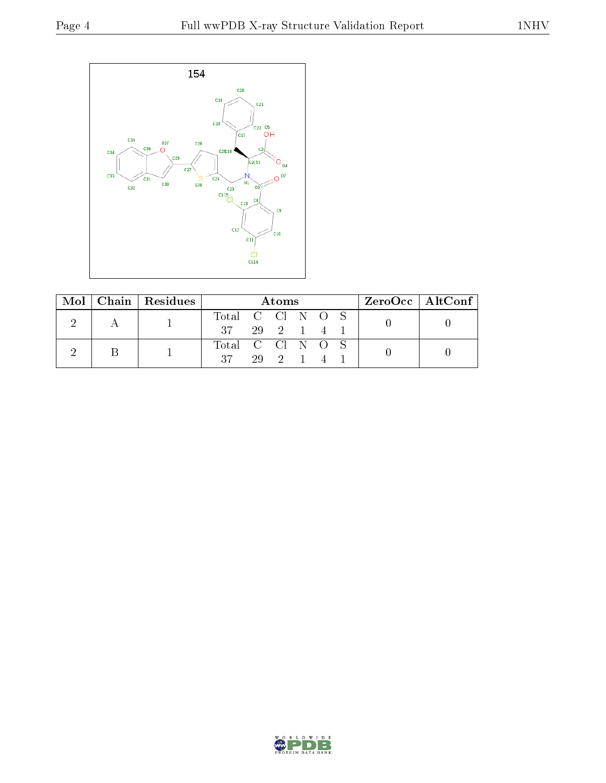

| Mol |  | Chain   Residues | Atoms            |            |          |  | $\rm ZeroOcc \mid AltConf \mid$ |  |
|-----|--|------------------|------------------|------------|----------|--|---------------------------------|--|
|     |  |                  | Total C Cl N O S |            |          |  |                                 |  |
|     |  | - 37             |                  | 29 2 1 4 1 |          |  |                                 |  |
|     |  |                  | Total C Cl N O S |            |          |  |                                 |  |
|     |  |                  | -27 -            |            | 29 2 1 4 |  |                                 |  |

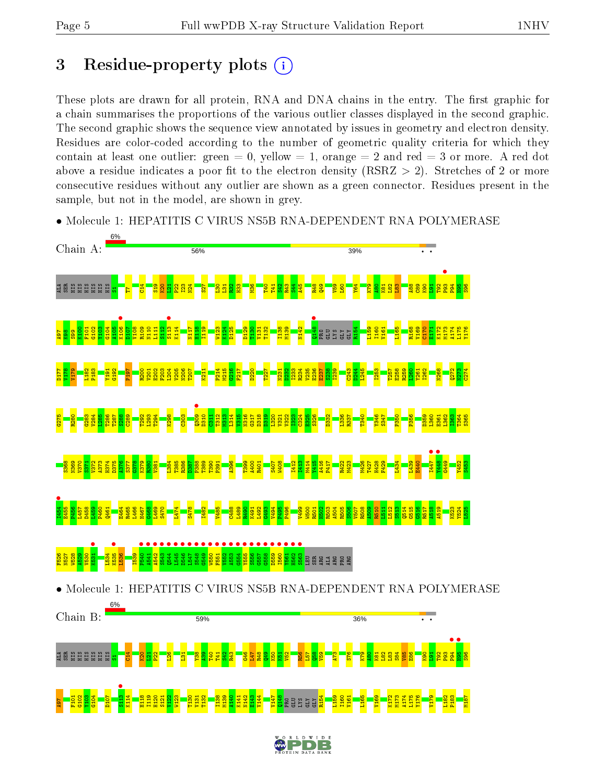# 3 Residue-property plots  $(i)$

These plots are drawn for all protein, RNA and DNA chains in the entry. The first graphic for a chain summarises the proportions of the various outlier classes displayed in the second graphic. The second graphic shows the sequence view annotated by issues in geometry and electron density. Residues are color-coded according to the number of geometric quality criteria for which they contain at least one outlier: green  $= 0$ , yellow  $= 1$ , orange  $= 2$  and red  $= 3$  or more. A red dot above a residue indicates a poor fit to the electron density (RSRZ  $> 2$ ). Stretches of 2 or more consecutive residues without any outlier are shown as a green connector. Residues present in the sample, but not in the model, are shown in grey.



• Molecule 1: HEPATITIS C VIRUS NS5B RNA-DEPENDENT RNA POLYMERASE

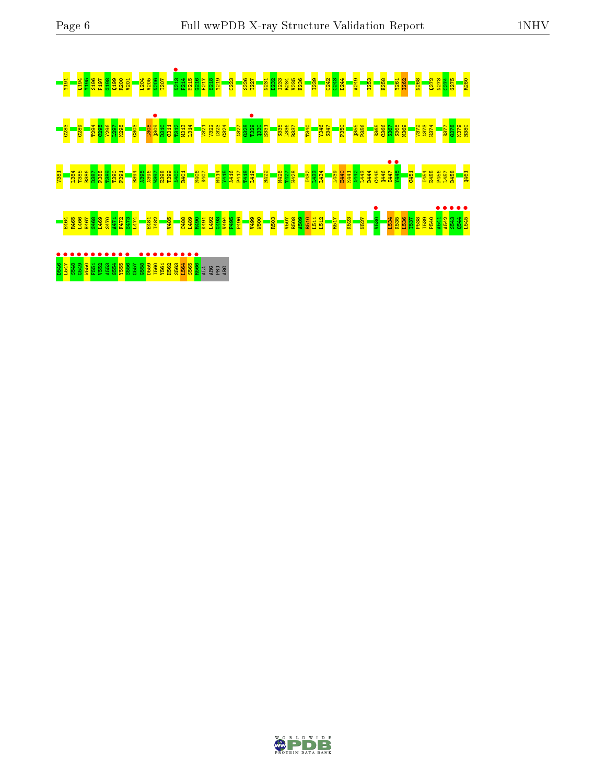

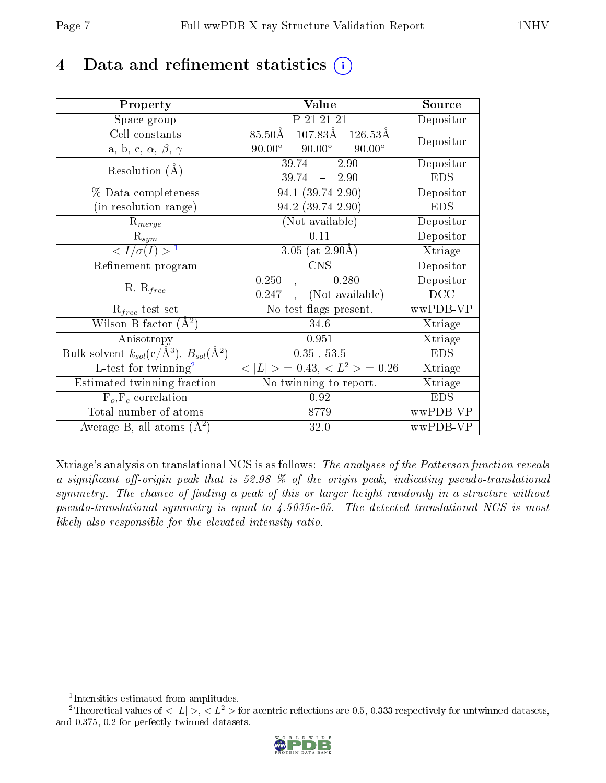# 4 Data and refinement statistics  $(i)$

| Property                                                             | Value                                                  | Source     |
|----------------------------------------------------------------------|--------------------------------------------------------|------------|
| Space group                                                          | P 21 21 21                                             | Depositor  |
| Cell constants                                                       | $107.83\text{\AA}$ $126.53\text{\AA}$<br>$85.50\rm\AA$ |            |
| a, b, c, $\alpha$ , $\beta$ , $\gamma$                               | $90.00^\circ$<br>$90.00^\circ$<br>$90.00^\circ$        | Depositor  |
| Resolution $(A)$                                                     | 39.74<br>2.90<br>$\frac{1}{2}$                         | Depositor  |
|                                                                      | 39.74<br>$-2.90$                                       | <b>EDS</b> |
| % Data completeness                                                  | $\overline{94.1}$ (39.74-2.90)                         | Depositor  |
| (in resolution range)                                                | 94.2 (39.74-2.90)                                      | <b>EDS</b> |
| $R_{merge}$                                                          | (Not available)                                        | Depositor  |
| $\mathrm{R}_{sym}$                                                   | 0.11                                                   | Depositor  |
| $\langle I/\sigma(I) \rangle^{-1}$                                   | 3.05 (at $2.90\text{\AA}$ )                            | Xtriage    |
| Refinement program                                                   | <b>CNS</b>                                             | Depositor  |
| $R, R_{free}$                                                        | 0.280<br>0.250                                         | Depositor  |
|                                                                      | (Not available)<br>0.247                               | DCC        |
| $R_{free}$ test set                                                  | No test flags present.                                 | wwPDB-VP   |
| Wilson B-factor $(A^2)$                                              | 34.6                                                   | Xtriage    |
| Anisotropy                                                           | 0.951                                                  | Xtriage    |
| Bulk solvent $k_{sol}(e/\mathring{A}^3)$ , $B_{sol}(\mathring{A}^2)$ | 0.35, 53.5                                             | <b>EDS</b> |
| L-test for twinning <sup>2</sup>                                     | $< L >$ = 0.43, $< L2$ = 0.26                          | Xtriage    |
| Estimated twinning fraction                                          | No twinning to report.                                 | Xtriage    |
| $F_o, F_c$ correlation                                               | 0.92                                                   | <b>EDS</b> |
| Total number of atoms                                                | 8779                                                   | wwPDB-VP   |
| Average B, all atoms $(A^2)$                                         | 32.0                                                   | wwPDB-VP   |

Xtriage's analysis on translational NCS is as follows: The analyses of the Patterson function reveals a significant off-origin peak that is 52.98  $\%$  of the origin peak, indicating pseudo-translational symmetry. The chance of finding a peak of this or larger height randomly in a structure without pseudo-translational symmetry is equal to 4.5035e-05. The detected translational NCS is most likely also responsible for the elevated intensity ratio.

<sup>&</sup>lt;sup>2</sup>Theoretical values of  $\langle |L| \rangle$ ,  $\langle L^2 \rangle$  for acentric reflections are 0.5, 0.333 respectively for untwinned datasets, and 0.375, 0.2 for perfectly twinned datasets.



<span id="page-6-1"></span><span id="page-6-0"></span><sup>1</sup> Intensities estimated from amplitudes.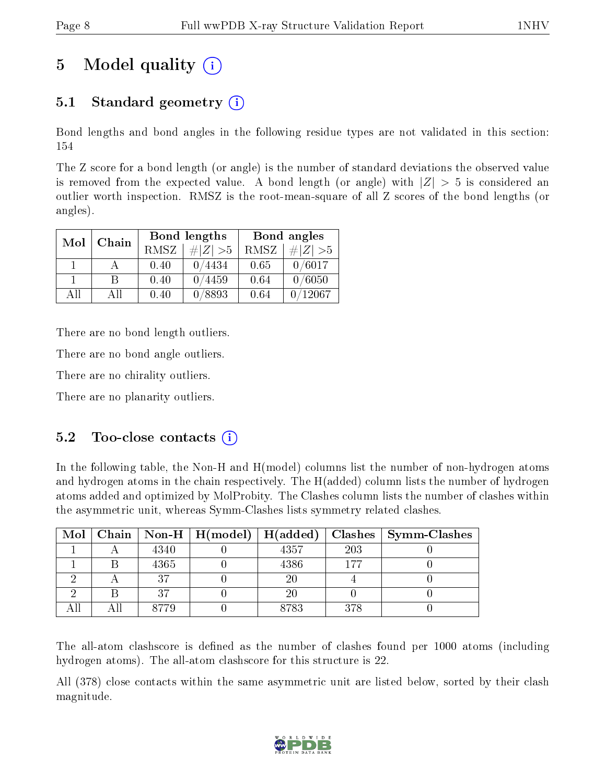# 5 Model quality  $(i)$

### 5.1 Standard geometry  $(i)$

Bond lengths and bond angles in the following residue types are not validated in this section: 154

The Z score for a bond length (or angle) is the number of standard deviations the observed value is removed from the expected value. A bond length (or angle) with  $|Z| > 5$  is considered an outlier worth inspection. RMSZ is the root-mean-square of all Z scores of the bond lengths (or angles).

| Mol | Chain |      | Bond lengths | Bond angles |             |  |
|-----|-------|------|--------------|-------------|-------------|--|
|     |       | RMSZ | $\# Z  > 5$  | RMSZ        | $\ Z\  > 5$ |  |
|     |       | 0.40 | 0/4434       | 0.65        | 0/6017      |  |
|     | R     | 0.40 | 0/4459       | 0.64        | 0/6050      |  |
| AĦ  | АH    | 0.40 | 0/8893       | 0.64        | 12067       |  |

There are no bond length outliers.

There are no bond angle outliers.

There are no chirality outliers.

There are no planarity outliers.

#### $5.2$  Too-close contacts  $(i)$

In the following table, the Non-H and H(model) columns list the number of non-hydrogen atoms and hydrogen atoms in the chain respectively. The H(added) column lists the number of hydrogen atoms added and optimized by MolProbity. The Clashes column lists the number of clashes within the asymmetric unit, whereas Symm-Clashes lists symmetry related clashes.

| Mol |      | Chain   Non-H   $H(model)$   $H(added)$ |        | $\sf{Classes}$ | $\mid$ Symm-Clashes |
|-----|------|-----------------------------------------|--------|----------------|---------------------|
|     | 4340 |                                         | 4357   | 203            |                     |
|     | 4365 |                                         | 4386   | 177            |                     |
|     | 27   |                                         | $20\,$ |                |                     |
|     | n H  |                                         | $20\,$ |                |                     |
|     | 8779 |                                         | 8783   | 378            |                     |

The all-atom clashscore is defined as the number of clashes found per 1000 atoms (including hydrogen atoms). The all-atom clashscore for this structure is 22.

All (378) close contacts within the same asymmetric unit are listed below, sorted by their clash magnitude.

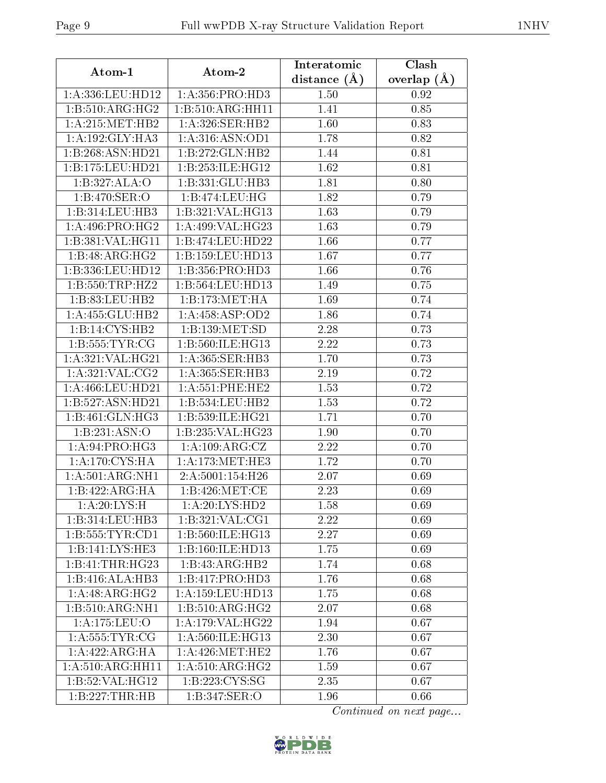| Atom-1                            | Atom-2               | Interatomic       | Clash         |  |
|-----------------------------------|----------------------|-------------------|---------------|--|
|                                   |                      | distance $(A)$    | overlap $(A)$ |  |
| 1:A:336:LEU:HD12                  | 1: A: 356: PRO: HD3  | 1.50              | 0.92          |  |
| 1: B: 510: ARG: HG2               | 1:B:510:ARG:HH11     | 1.41              | 0.85          |  |
| 1: A:215: MET:HB2                 | 1:A:326:SER:HB2      | 1.60              | 0.83          |  |
| 1: A: 192: GLY: HA3               | 1:A:316:ASN:OD1      | 1.78              | 0.82          |  |
| 1:B:268:ASN:HD21                  | 1:B:272:GLN:HB2      | 1.44              | 0.81          |  |
| 1:B:175:LEU:HD21                  | 1:B:253:ILE:HG12     | 1.62              | 0.81          |  |
| 1:B:327:ALA:O                     | 1:B:331:GLU:HB3      | 1.81              | 0.80          |  |
| $1:B:470:\overline{\text{SER}:O}$ | 1:B:474:LEU:HG       | 1.82              | 0.79          |  |
| 1:B:314:LEU:HB3                   | 1:B:321:VAL:HG13     | 1.63              | 0.79          |  |
| 1: A:496: PRO:HG2                 | 1:A:499:VAL:HG23     | 1.63              | 0.79          |  |
| 1:B:381:VAL:HG11                  | 1:B:474:LEU:HD22     | 1.66              | 0.77          |  |
| 1:B:48:ARG:HG2                    | 1:B:159:LEU:HD13     | 1.67              | 0.77          |  |
| 1:B:336:LEU:HD12                  | 1:B:356:PRO:HD3      | 1.66              | 0.76          |  |
| 1: B: 550: TRP: HZ2               | 1:B:564:LEU:HD13     | 1.49              | 0.75          |  |
| 1:B:83:LEU:HB2                    | 1:B:173:MET:HA       | 1.69              | 0.74          |  |
| 1:A:455:GLU:HB2                   | 1: A:458: ASP:OD2    | 1.86              | 0.74          |  |
| $1:B:14:CYS:\overline{HB2}$       | 1:B:139:MET:SD       | 2.28              | 0.73          |  |
| 1:B:555:TYR:CG                    | 1:B:560:ILE:HG13     | 2.22              | 0.73          |  |
| 1:A:321:VAL:HG21                  | 1: A:365: SER:HB3    | 1.70              | 0.73          |  |
| 1: A:321: VAL: CG2                | 1:A:365:SER:HB3      | 2.19              | 0.72          |  |
| 1:A:466:LEU:HD21                  | 1: A:551:PHE:HE2     | 1.53              | 0.72          |  |
| 1:B:527:ASN:HD21                  | 1:B:534:LEU:HB2      | 1.53              | 0.72          |  |
| 1:B:461:GLN:HG3                   | 1:B:539:ILE:HG21     | 1.71              | 0.70          |  |
| 1:B:231:ASN:O                     | 1:B:235:VAL:HG23     | 1.90              | 0.70          |  |
| 1: A:94: PRO:HG3                  | 1: A: 109: ARG: CZ   | 2.22              | 0.70          |  |
| 1: A:170: CYS: HA                 | 1: A:173:MET:HE3     | 1.72              | 0.70          |  |
| 1: A:501: ARG:NH1                 | 2:A:5001:154:H26     | $\overline{2.07}$ | 0.69          |  |
| 1:B:422:ARG:HA                    | 1:B:426:MET:CE       | 2.23              | 0.69          |  |
| 1:A:20:LYS:H                      | 1:A:20:LYS:HD2       | 1.58              | 0.69          |  |
| 1:B:314:LEU:HB3                   | 1:B:321:VAL:CG1      | 2.22              | 0.69          |  |
| 1: B: 555: TYR: CD1               | 1:B:560:ILE:HG13     | 2.27              | 0.69          |  |
| 1:B:141:LYS:HE3                   | 1:B:160:ILE:HD13     | 1.75              | 0.69          |  |
| 1:B:41:THR:HG23                   | 1:B:43:ARG:HB2       | 1.74              | 0.68          |  |
| 1:B:416:ALA:HB3                   | 1:B:417:PRO:HD3      | 1.76              | 0.68          |  |
| 1:A:48:ARG:HG2                    | 1: A: 159: LEU: HD13 | 1.75              | 0.68          |  |
| 1:B:510:ARG:NH1                   | 1:B:510:ARG:HG2      | 2.07              | 0.68          |  |
| 1:A:175:LEU:O                     | 1:A:179:VAL:HG22     | 1.94              | 0.67          |  |
| 1: A: 555: TYR: CG                | 1: A:560: ILE: HG13  | 2.30              | 0.67          |  |
| 1: A: 422: ARG: HA                | 1: A:426: MET:HE2    | 1.76              | 0.67          |  |
| 1:A:510:ARG:HH11                  | 1: A:510: ARG: HG2   | 1.59              | 0.67          |  |
| 1:B:52:VAL:HG12                   | 1:B:223:CYS:SG       | $2.35\,$          | 0.67          |  |
| 1:B:227:THR:HB                    | 1:B:347:SER:O        | 1.96              | 0.66          |  |

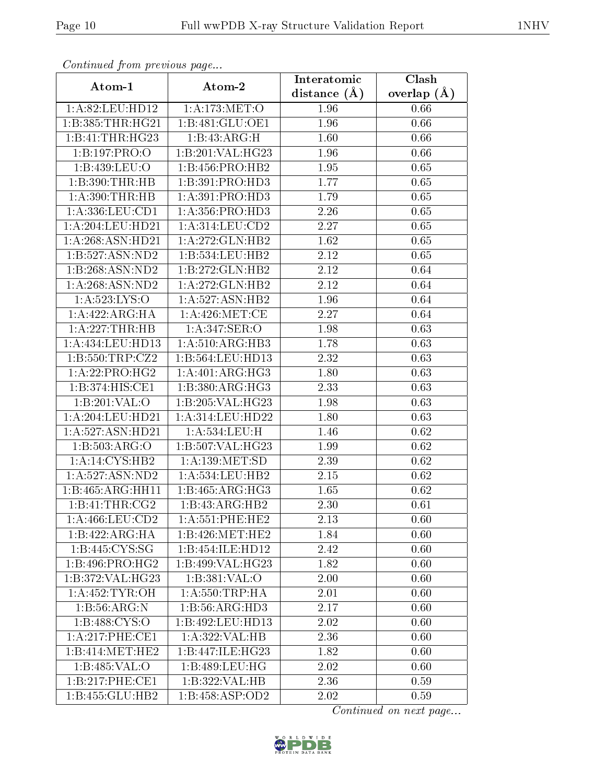| Continuea from previous page  |                     | Interatomic    | Clash         |  |
|-------------------------------|---------------------|----------------|---------------|--|
| Atom-1                        | Atom-2              | distance $(A)$ | overlap $(A)$ |  |
| 1:A:82:LEU:HD12               | 1: A:173:MET:O      | 1.96           | 0.66          |  |
| 1:B:385:THR:HG21              | 1:B:481:GLU:OE1     | 1.96           | 0.66          |  |
| 1:B:41:THR:HG23               | 1:B:43:ARG:H        | 1.60           | 0.66          |  |
| 1:B:197:PRO:O                 | 1:B:201:VAL:HG23    | 1.96           | 0.66          |  |
| 1:B:439:LEU:O                 | 1:B:456:PRO:HB2     | 1.95           | 0.65          |  |
| 1:B:390:THR:HB                | 1:B:391:PRO:HD3     | 1.77           | 0.65          |  |
| 1: A:390:THR:HB               | 1: A:391: PRO:HD3   | 1.79           | 0.65          |  |
| $1: A: 336:$ LEU: $CD1$       | 1: A: 356: PRO: HD3 | 2.26           | 0.65          |  |
| 1:A:204:LEU:HD21              | 1: A:314:LEU:CD2    | 2.27           | 0.65          |  |
| 1: A:268: ASN:HD21            | 1: A:272: GLN: HB2  | 1.62           | 0.65          |  |
| 1:B:527:ASN:ND2               | 1:B:534:LEU:HB2     | 2.12           | 0.65          |  |
| 1:B:268:ASN:ND2               | 1:B:272:GLN:HB2     | 2.12           | 0.64          |  |
| 1:A:268:ASN:ND2               | 1:A:272:GLN:HB2     | 2.12           | 0.64          |  |
| 1:A:523:LYS:O                 | 1:A:527:ASN:HB2     | 1.96           | 0.64          |  |
| 1: A:422:ARG:HA               | 1: A:426: MET:CE    | 2.27           | 0.64          |  |
| 1:A:227:THR:HB                | $1: A:347:$ SER:O   | 1.98           | 0.63          |  |
| 1:A:434:LEU:HD13              | 1:A:510:ARG:HB3     | 1.78           | 0.63          |  |
| 1: B: 550: TRP: CZ2           | 1:B:564:LEU:HD13    | 2.32           | 0.63          |  |
| $1:A:\overline{22:PRO:HG2}$   | 1: A:401: ARG:HG3   | 1.80           | 0.63          |  |
| 1:B:374:HIS:CE1               | 1:B:380:ARG:HG3     | 2.33           | 0.63          |  |
| 1:B:201:VAL:O                 | 1:B:205:VAL:HG23    | 1.98           | 0.63          |  |
| 1: A:204:LEU:HD21             | 1: A:314:LEU:HD22   | 1.80           | 0.63          |  |
| 1:A:527:ASN:HD21              | 1:A:534:LEU:H       | 1.46           | 0.62          |  |
| 1:B:503:ARG:O                 | 1:B:507:VAL:HG23    | 1.99           | 0.62          |  |
| 1: A:14: CYS:HB2              | 1: A: 139: MET: SD  | 2.39           | 0.62          |  |
| 1: A:527: ASN:ND2             | 1:A:534:LEU:HB2     | $2.15\,$       | 0.62          |  |
| 1:B:465:ARG:HH11              | 1: B: 465: ARG: HG3 | 1.65           | 0.62          |  |
| 1:B:41:THR:CG2                | 1:B:43:ARG:HB2      | 2.30           | 0.61          |  |
| 1: A:466: LEU:CD2             | 1: A:551:PHE:HE2    | 2.13           | 0.60          |  |
| 1:B:422:ARG:HA                | 1:B:426:MET:HE2     | 1.84           | 0.60          |  |
| 1:B:445:CYS:SG                | 1:B:454:ILE:HD12    | 2.42           | 0.60          |  |
| 1:B:496:PRO:HG2               | 1:B:499:VAL:HG23    | 1.82           | 0.60          |  |
| $1:B:372:VAL:HG\overline{23}$ | 1:B:381:VAL:O       | 2.00           | 0.60          |  |
| 1: A:452: TYR:OH              | 1: A:550:TRP:HA     | 2.01           | 0.60          |  |
| 1:B:56:ARG:N                  | 1:B:56:ARG:HD3      | 2.17           | 0.60          |  |
| 1: B: 488: CYS:O              | 1:B:492:LEU:HD13    | 2.02           | 0.60          |  |
| 1: A:217:PHE:CE1              | 1:A:322:VAL:HB      | 2.36           | 0.60          |  |
| 1:B:414:MET:HE2               | 1:B:447:ILE:HG23    | 1.82           | 0.60          |  |
| 1:B:485:VAL:O                 | 1:B:489:LEU:HG      | 2.02           | 0.60          |  |
| 1:B:217:PHE:CE1               | 1:B:322:VAL:HB      | 2.36           | 0.59          |  |
| 1:B:455:GLU:HB2               | 1:B:458:ASP:OD2     | 2.02           | 0.59          |  |

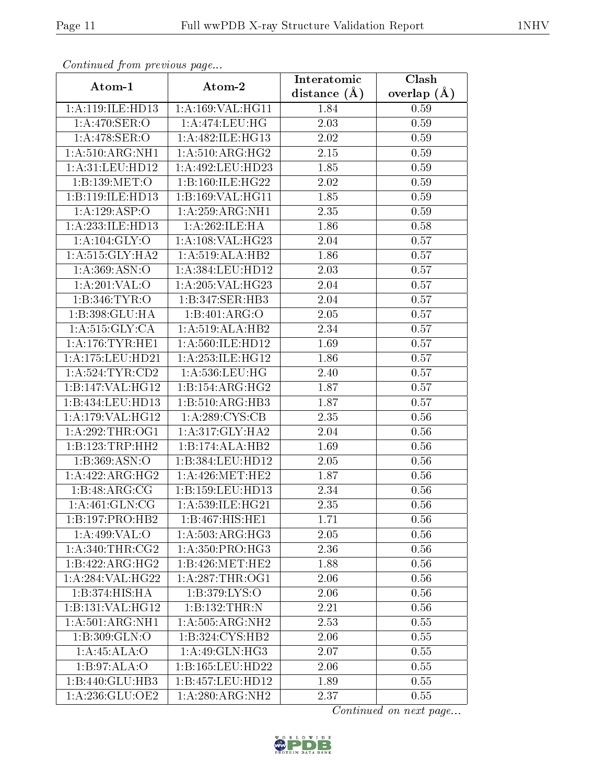| Continuea from previous page<br>Clash<br>Interatomic |                                      |                   |                 |  |
|------------------------------------------------------|--------------------------------------|-------------------|-----------------|--|
| Atom-1                                               | Atom-2                               | distance $(A)$    | overlap $(\AA)$ |  |
| 1:A:119:ILE:HD13                                     | 1:A:169:VAL:HG11                     | 1.84              | 0.59            |  |
| 1:A:470:SER:O                                        | 1:A:474:LEU:HG                       | $\overline{2.03}$ | 0.59            |  |
| 1: A:478: SER: O                                     | 1:A:482:ILE:HG13                     | 2.02              | 0.59            |  |
| 1:A:510:ARG:NH1                                      | 1: A:510:ARG:HG2                     | 2.15              | 0.59            |  |
| 1: A:31: LEU: HD12                                   | 1:A:492:LEU:HD23                     | 1.85              | 0.59            |  |
| 1:B:139:MET:O                                        | 1:B:160:ILE:HG22                     | 2.02              | 0.59            |  |
| 1:B:119:ILE:HD13                                     | 1:B:169:VAL:HG11                     | 1.85              | 0.59            |  |
| 1:A:129:ASP:O                                        | 1:A:259:ARG:NH1                      | 2.35              | 0.59            |  |
| 1:A:233:ILE:HD13                                     | 1:A:262:ILE:HA                       | 1.86              | 0.58            |  |
| 1:A:104:GLY:O                                        | 1:A:108:VAL:HG23                     | 2.04              | 0.57            |  |
| 1: A:515: GLY:HA2                                    | $1:A:519:ALA:H\overline{B2}$         | 1.86              | 0.57            |  |
| 1: A: 369: ASN:O                                     | 1:A:384:LEU:HD12                     | 2.03              | 0.57            |  |
| 1:A:201:VAL:0                                        | 1: A:205: VAL:HG23                   | 2.04              | 0.57            |  |
| 1:B:346:TYR:O                                        | 1:B:347:SER:HB3                      | 2.04              | 0.57            |  |
| 1:B:398:GLU:HA                                       | 1:B:401:ARG:O                        | 2.05              | 0.57            |  |
| 1: A:515: GLY: CA                                    | $1:A:519: \overline{\text{ALA:HB2}}$ | 2.34              | 0.57            |  |
| 1:A:176:TYR:HE1                                      | 1:A:560:ILE:HD12                     | 1.69              | 0.57            |  |
| 1:A:175:LEU:HD21                                     | 1: A:253: ILE: HG12                  | 1.86              | 0.57            |  |
| 1: A:524:TYR:CD2                                     | 1: A: 536: LEU: HG                   | 2.40              | 0.57            |  |
| 1:B:147:VAL:HG12                                     | 1:B:154:ARG:HG2                      | 1.87              | 0.57            |  |
| 1:B:434:LEU:HD13                                     | 1:B:510:ARG:HB3                      | 1.87              | 0.57            |  |
| 1:A:179:VAL:HG12                                     | 1: A:289: CYS:CB                     | 2.35              | 0.56            |  |
| 1: A:292:THR:OG1                                     | 1: A:317: GLY:HA2                    | 2.04              | 0.56            |  |
| 1:B:123:TRP:HH2                                      | 1:B:174:ALA:HB2                      | 1.69              | 0.56            |  |
| 1:B:369:ASN:O                                        | 1:B:384:LEU:HD12                     | 2.05              | 0.56            |  |
| 1:A:422:ARG:HG2                                      | 1: A:426:MET:HE2                     | 1.87              | 0.56            |  |
| 1:B:48:ARG:CG                                        | 1:B:159:LEU:HD13                     | 2.34              | 0.56            |  |
| 1:A:461:GLN:CG                                       | 1:A:539:ILE:HG21                     | 2.35              | 0.56            |  |
| 1:B:197:PRO:HB2                                      | 1:B:467:HIS:HE1                      | 1.71              | 0.56            |  |
| 1: A:499: VAL:O                                      | 1: A:503:ARG:HG3                     | 2.05              | 0.56            |  |
| 1: A:340:THR:CG2                                     | 1: A: 350: PRO:HG3                   | 2.36              | 0.56            |  |
| 1:B:422:ARG:HG2                                      | 1:B:426:MET:HE2                      | 1.88              | 0.56            |  |
| 1:A:284:VAL:HG22                                     | 1: A:287:THR:OG1                     | 2.06              | 0.56            |  |
| 1:B:374:HIS:HA                                       | 1: B:379: LYS:O                      | 2.06              | $0.56\,$        |  |
| 1:B:131:VAL:HG12                                     | 1:B:132:THR:N                        | 2.21              | 0.56            |  |
| 1:A:501:ARG:NH1                                      | 1:A:505:ARG:NH2                      | 2.53              | 0.55            |  |
| 1:B:309:GLN:O                                        | 1:B:324:CYS:HB2                      | 2.06              | 0.55            |  |
| 1:A:45:ALA:O                                         | 1:A:49:GLN:HG3                       | 2.07              | 0.55            |  |
| 1:B:97:ALA:O                                         | 1:B:165:LEU:HD22                     | 2.06              | 0.55            |  |
| 1:B:440:GLU:HB3                                      | 1:B:457:LEU:HD12                     | 1.89              | 0.55            |  |
| 1:A:236:GLU:OE2                                      | 1: A:280:ARG:NH2                     | 2.37              | 0.55            |  |

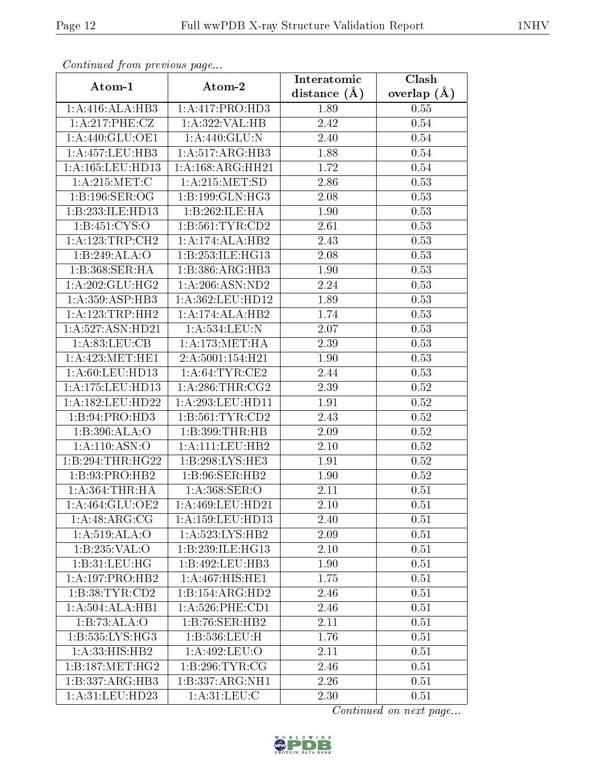| Continuea from previous page<br>Clash<br>Interatomic |                      |                |               |  |
|------------------------------------------------------|----------------------|----------------|---------------|--|
| Atom-1                                               | Atom-2               | distance $(A)$ | overlap $(A)$ |  |
| 1:A:416:ALA:HB3                                      | 1:A:417:PRO:HD3      | 1.89           | 0.55          |  |
| 1:A:217:PHE:CZ                                       | 1:A:322:VAL:HB       | 2.42           | 0.54          |  |
| 1: A:440: GLU:OE1                                    | 1:A:440:GLU:N        | 2.40           | 0.54          |  |
| 1:A:457:LEU:HB3                                      | 1:A:517:ARG:HB3      | 1.88           | 0.54          |  |
| 1: A: 165: LEU: HD13                                 | 1: A: 168: ARG: HH21 | 1.72           | 0.54          |  |
| 1: A:215:MET:C                                       | 1: A:215: MET:SD     | 2.86           | 0.53          |  |
| 1:1:196:SER:OG                                       | 1:B:199:GLN:HG3      | 2.08           | 0.53          |  |
| 1:B:233:ILE:HD13                                     | 1:B:262:ILE:HA       | 1.90           | 0.53          |  |
| 1: B: 451: CYS:O                                     | 1: B: 561: TYR: CD2  | 2.61           | 0.53          |  |
| 1: A: 123: TRP: CH2                                  | 1:A:174:ALA:HB2      | 2.43           | 0.53          |  |
| 1:B:249:ALA:O                                        | 1:B:253:ILE:HG13     | 2.08           | 0.53          |  |
| 1:B:368:SER:HA                                       | 1:B:386:ARG:HB3      | 1.90           | 0.53          |  |
| 1:A:202:GLU:HG2                                      | 1:A:206:ASN:ND2      | 2.24           | 0.53          |  |
| 1: A: 359: ASP: HB3                                  | 1:A:362:LEU:HD12     | 1.89           | 0.53          |  |
| 1: A: 123: TRP: HH2                                  | 1:A:174:ALA:HB2      | 1.74           | 0.53          |  |
| 1: A:527: ASN:HD21                                   | 1:A:534:LEU:N        | 2.07           | 0.53          |  |
| 1: A:83: LEU:CB                                      | 1: A:173:MET:HA      | 2.39           | 0.53          |  |
| 1: A:423:MET:HE1                                     | 2:A:5001:154:H21     | 1.90           | 0.53          |  |
| 1: A:60:LEU:HD13                                     | 1: A:64:TYR:CE2      | 2.44           | 0.53          |  |
| 1:A:175:LEU:HD13                                     | 1: A:286:THR:CG2     | 2.39           | 0.52          |  |
| 1:A:182:LEU:HD22                                     | 1:A:293:LEU:HD11     | 1.91           | 0.52          |  |
| 1:B:94:PRO:HD3                                       | 1: B: 561: TYR: CD2  | 2.43           | 0.52          |  |
| 1:B:396:ALA:O                                        | 1:B:399:THR:HB       | 2.09           | 0.52          |  |
| 1:A:110:ASN:O                                        | 1: A: 111: LEU: HB2  | $2.10\,$       | 0.52          |  |
| 1:B:294:THR:HG22                                     | 1:B:298:LYS:HE3      | 1.91           | 0.52          |  |
| 1: B: 93: PRO: HB2                                   | 1:B:96:SER:HB2       | 1.90           | 0.52          |  |
| 1: A:364:THR:HA                                      | 1: A:368: SER:O      | 2.11           | 0.51          |  |
| 1:A:464:GLU:OE2                                      | 1: A:469:LEU:HD21    | 2.10           | 0.51          |  |
| 1:A:48:ARG:CG                                        | 1: A: 159: LEU: HD13 | 2.40           | 0.51          |  |
| 1: A:519:ALA:O                                       | 1:A:523:LYS:HB2      | 2.09           | 0.51          |  |
| 1:B:235:VAL:O                                        | 1:B:239:ILE:HG13     | 2.10           | 0.51          |  |
| 1:B:31:LEU:HG                                        | 1:B:492:LEU:HB3      | 1.90           | 0.51          |  |
| 1:A:197:PRO:HB2                                      | 1:A:467:HIS:HE1      | 1.75           | 0.51          |  |
| 1:B:38:TYR:CD2                                       | 1:B:154:ARG:HD2      | 2.46           | 0.51          |  |
| 1:A:504:ALA:HB1                                      | $1: A:526:$ PHE:CD1  | 2.46           | 0.51          |  |
| 1:B:73:ALA:O                                         | 1:B:76:SER:HB2       | 2.11           | 0.51          |  |
| 1:B:535:LYS:HG3                                      | 1:B:536:LEU:H        | 1.76           | 0.51          |  |
| 1:A:33:HIS:HB2                                       | 1:A:492:LEU:O        | 2.11           | 0.51          |  |
| 1:B:187:MET:HG2                                      | 1: B:296: TYR: CG    | 2.46           | 0.51          |  |
| 1:B:337:ARG:HB3                                      | 1:B:337:ARG:NH1      | 2.26           | 0.51          |  |
| 1: A:31: LEU: HD23                                   | 1: A:31:LEV:C        | 2.30           | 0.51          |  |

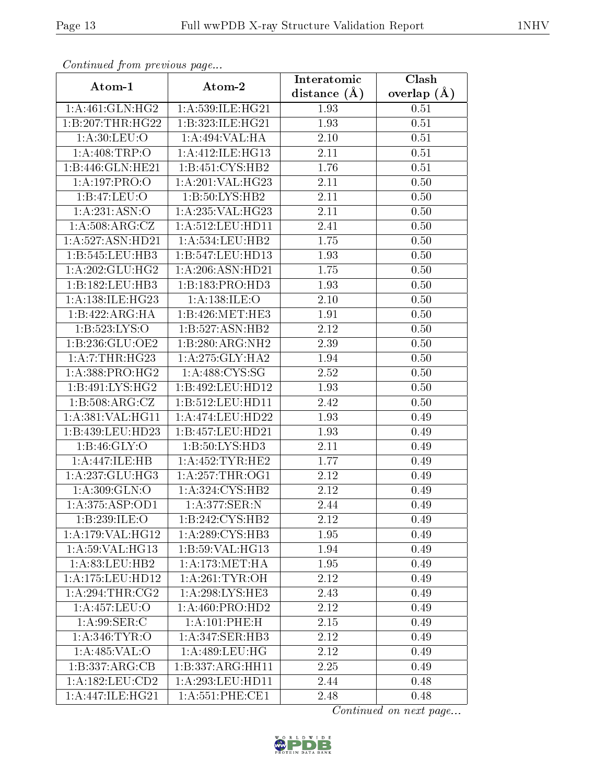| Continuea from previous page<br>Clash<br>Interatomic |                              |                |                 |  |  |
|------------------------------------------------------|------------------------------|----------------|-----------------|--|--|
| Atom-1                                               | Atom-2                       | distance $(A)$ | overlap $(\AA)$ |  |  |
| 1: A:461: GLN: HG2                                   | 1:A:539:ILE:HG21             | 1.93           | 0.51            |  |  |
| 1:B:207:THR:HG22                                     | 1:B:323:ILE:HG21             | 1.93           | 0.51            |  |  |
| 1: A:30: LEU:O                                       | 1:A:494:VAL:HA               | 2.10           | $0.51\,$        |  |  |
| 1:A:408:TRP:O                                        | 1:A:412:ILE:HG13             | 2.11           | 0.51            |  |  |
| 1:B:446:GLN:HE21                                     | 1:B:451:CYS:HB2              | 1.76           | 0.51            |  |  |
| 1:A:197:PRO:O                                        | 1:A:201:VAL:HG23             | 2.11           | 0.50            |  |  |
| 1:B:47:LEU:O                                         | 1: B:50: LYS: HB2            | 2.11           | 0.50            |  |  |
| 1: A:231: ASN:O                                      | 1:A:235:VAL:HG23             | 2.11           | 0.50            |  |  |
| 1: A:508: ARG: CZ                                    | 1: A: 512: LEU: HD11         | 2.41           | 0.50            |  |  |
| 1:A:527:ASN:HD21                                     | 1: A: 534: LEU: HB2          | 1.75           | 0.50            |  |  |
| 1:B:545:LEU:HB3                                      | 1:B:547:LEU:HD13             | 1.93           | 0.50            |  |  |
| 1:A:202:GLU:HG2                                      | 1:A:206:ASN:HD21             | 1.75           | 0.50            |  |  |
| 1:B:182:LEU:HB3                                      | 1:B:183:PRO:HD3              | 1.93           | 0.50            |  |  |
| 1: A: 138: ILE: HG23                                 | 1: A: 138: ILE: O            | 2.10           | 0.50            |  |  |
| 1:B:422:ARG:HA                                       | 1:B:426:MET:HE3              | 1.91           | 0.50            |  |  |
| 1:B:523:LYS:O                                        | 1:B:527:A SN:HB2             | 2.12           | 0.50            |  |  |
| 1:B:236:GLU:OE2                                      | 1:B:280:ARG:NH2              | 2.39           | 0.50            |  |  |
| 1: A: 7: THR: HG23                                   | 1:A:275:GLY:HA2              | 1.94           | 0.50            |  |  |
| 1:A:388:PRO:HG2                                      | 1:A:488:CYS:SG               | 2.52           | 0.50            |  |  |
| 1:B:491:LYS:HG2                                      | 1:B:492:LEU:HD12             | 1.93           | 0.50            |  |  |
| 1: B: 508: ARG: CZ                                   | 1:B:512:LEU:HD11             | 2.42           | 0.50            |  |  |
| 1:A:381:VAL:HG11                                     | 1:A:474:LEU:HD22             | 1.93           | 0.49            |  |  |
| 1:B:439:LEU:HD23                                     | 1:B:457:LEU:HD21             | 1.93           | 0.49            |  |  |
| 1: B: 46: GLY:O                                      | 1:B:50:LYS:HD3               | 2.11           | 0.49            |  |  |
| 1:A:447:ILE:HB                                       | 1: A: 452: TYR: HE2          | 1.77           | 0.49            |  |  |
| 1:A:237:GLU:HG3                                      | 1:A:257:THR:OG1              | 2.12           | 0.49            |  |  |
| 1:A:309:GLN:O                                        | 1:A:324:CYS:HB2              | 2.12           | 0.49            |  |  |
| 1:A:375:ASP:OD1                                      | 1:A:377:SER:N                | 2.44           | 0.49            |  |  |
| 1:B:239:ILE:O                                        | 1:B:242:CYS:HB2              | 2.12           | 0.49            |  |  |
| 1: A:179: VAL:HG12                                   | 1: A:289: CYS:HB3            | 1.95           | 0.49            |  |  |
| 1:A:59:VAL:HG13                                      | 1:B:59:VAL:HG13              | 1.94           | 0.49            |  |  |
| 1: A:83:LEU:HB2                                      | 1: A:173: MET:HA             | 1.95           | 0.49            |  |  |
| 1:A:175:LEU:HD12                                     | 1: A:261:TYR:OH              | 2.12           | 0.49            |  |  |
| 1:A:294:THR:CG2                                      | 1: A:298: LYS: HE3           | 2.43           | 0.49            |  |  |
| 1:A:457:LEU:O                                        | $1:A:460:PRO:H\overline{D2}$ | 2.12           | 0.49            |  |  |
| 1:A:99:SER:C                                         | 1:A:101:PHE:H                | 2.15           | 0.49            |  |  |
| 1: A:346: TYR:O                                      | 1: A:347: SER: HB3           | 2.12           | 0.49            |  |  |
| 1:A:485:VAL:O                                        | 1: A:489: LEU: HG            | 2.12           | 0.49            |  |  |
| 1:B:337:ARG:CB                                       | 1:B:337:ARG:HH11             | 2.25           | 0.49            |  |  |
| 1:A:182:LEU:CD2                                      | 1:A:293:LEU:HD11             | 2.44           | 0.48            |  |  |
| 1:A:447:ILE:HG21                                     | 1:A:551:PHE:CE1              | 2.48           | 0.48            |  |  |

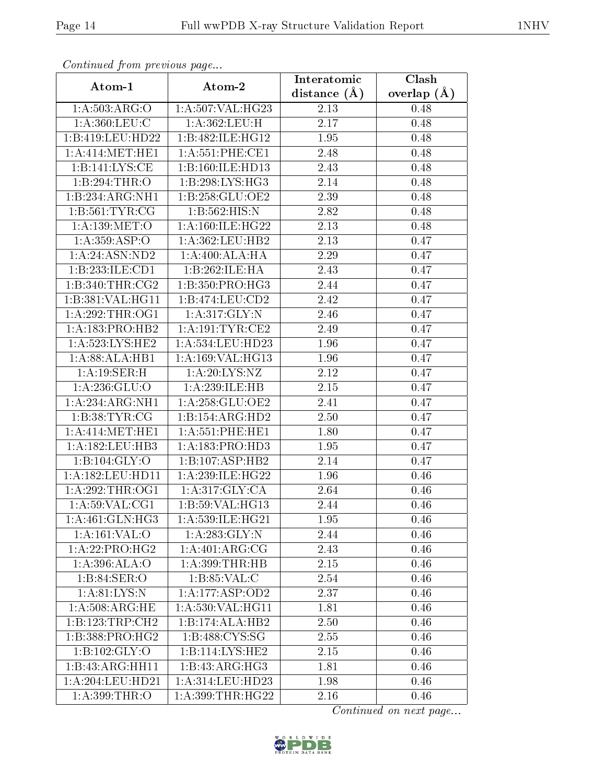| Continuou jiom protivus pago |                               | Interatomic       | Clash           |  |
|------------------------------|-------------------------------|-------------------|-----------------|--|
| Atom-1                       | Atom-2                        | distance $(\AA)$  | overlap $(\AA)$ |  |
| 1: A:503: ARG:O              | $1:A:507:\overline{VAL:HG23}$ | 2.13              | 0.48            |  |
| 1: A:360:LEU:C               | 1:A:362:LEU:H                 | 2.17              | 0.48            |  |
| 1:B:419:LEU:HD22             | 1:B:482:ILE:HG12              | 1.95              | 0.48            |  |
| 1: A:414: MET:HE1            | 1: A:551:PHE:CE1              | 2.48              | 0.48            |  |
| 1:B:141:LYS:CE               | 1:B:160:ILE:HD13              | 2.43              | 0.48            |  |
| 1:B:294:THR:O                | 1:B:298:LYS:HG3               | 2.14              | 0.48            |  |
| 1:B:234:ARG:NH1              | 1:B:258:GLU:OE2               | $\overline{2}.39$ | 0.48            |  |
| 1:B:561:TYR:CG               | 1:B:562:HIS:N                 | 2.82              | 0.48            |  |
| 1: A: 139: MET:O             | 1: A:160: ILE: HG22           | 2.13              | 0.48            |  |
| 1:A:359:ASP:O                | 1:A:362:LEU:HB2               | 2.13              | 0.47            |  |
| 1: A:24:ASN:ND2              | 1:A:400:ALA:HA                | 2.29              | 0.47            |  |
| 1:B:233:ILE:CD1              | 1:B:262:ILE:HA                | 2.43              | 0.47            |  |
| 1:B:340:THR:CG2              | 1:B:350:PRO:HG3               | 2.44              | 0.47            |  |
| 1:B:381:VAL:HG11             | 1:B:474:LEU:CD2               | 2.42              | 0.47            |  |
| 1: A:292:THR:OG1             | 1:A:317:GLY:N                 | 2.46              | 0.47            |  |
| 1: A: 183: PRO: HB2          | 1: A: 191: TYR: CE2           | 2.49              | 0.47            |  |
| 1: A:523: LYS: HE2           | 1:A:534:LEU:HD23              | 1.96              | 0.47            |  |
| 1:A:88:ALA:HB1               | 1:A:169:VAL:HG13              | 1.96              | 0.47            |  |
| 1: A:19: SER:H               | 1: A:20: LYS: NZ              | 2.12              | 0.47            |  |
| 1: A:236: GLU:O              | 1: A:239: ILE: HB             | $2.15\,$          | 0.47            |  |
| 1:A:234:ARG:NH1              | 1: A:258: GLU:OE2             | 2.41              | 0.47            |  |
| 1:B:38:TYR:CG                | 1:B:154:ARG:HD2               | 2.50              | 0.47            |  |
| 1: A:414: MET:HE1            | 1: A:551:PHE:HE1              | 1.80              | 0.47            |  |
| 1: A:182:LEU:HB3             | 1: A: 183: PRO: HD3           | 1.95              | 0.47            |  |
| 1: B: 104: GLY:O             | 1:B:107:ASP:HB2               | 2.14              | 0.47            |  |
| 1: A: 182: LEU: HD11         | 1:A:239:ILE:HG22              | 1.96              | 0.46            |  |
| 1: A:292:THR:OG1             | 1: A:317: GLY: CA             | 2.64              | 0.46            |  |
| 1: A:59: VAL:CG1             | 1:B:59:VAL:HG13               | 2.44              | 0.46            |  |
| 1: A:461: GLN: HG3           | 1:A:539:ILE:HG21              | 1.95              | 0.46            |  |
| 1:A:161:VAL:O                | 1: A:283: GLY:N               | 2.44              | 0.46            |  |
| 1:A:22:PRO:HG2               | 1:A:401:ARG:CG                | 2.43              | 0.46            |  |
| 1: A:396: ALA:O              | 1: A:399:THR:HB               | 2.15              | 0.46            |  |
| 1:B:84:SER:O                 | $1: B:85:VAL: \overline{C}$   | 2.54              | 0.46            |  |
| 1: A:81: LYS: N              | 1:A:177:ASP:OD2               | 2.37              | 0.46            |  |
| 1: A:508:ARG:HE              | 1: A: 530: VAL: HG11          | 1.81              | 0.46            |  |
| 1:B:123:TRP:CH2              | 1:B:174:ALA:HB2               | 2.50              | 0.46            |  |
| 1:B:388:PRO:HG2              | 1:B:488:CYS:SG                | 2.55              | 0.46            |  |
| 1:B:102:GLY:O                | 1:B:114:LYS:HE2               | 2.15              | 0.46            |  |
| 1:B:43:ARG:HH11              | 1:B:43:ARG:HG3                | 1.81              | 0.46            |  |
| 1:A:204:LEU:HD21             | 1:A:314:LEU:HD23              | 1.98              | 0.46            |  |
| 1: A:399:THR:O               | 1:A:399:THR:HG22              | 2.16              | 0.46            |  |

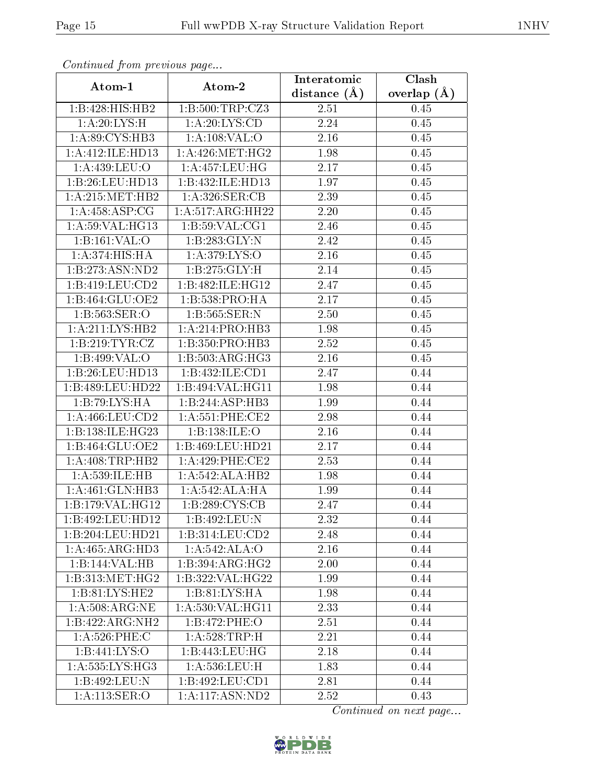| Commaca jibin previous page         |                            | Interatomic    | $\overline{\text{Clash}}$ |
|-------------------------------------|----------------------------|----------------|---------------------------|
| Atom-1                              | Atom-2                     | distance $(A)$ | overlap $(A)$             |
| 1:B:428:HIS:HB2                     | 1:B:500:TRP:CZ3            | 2.51           | 0.45                      |
| 1:A:20:LYS:H                        | 1: A:20: LYS:CD            | 2.24           | 0.45                      |
| 1: A:89: CYS:HB3                    | 1:A:108:VAL:O              | 2.16           | 0.45                      |
| 1:A:412:ILE:HD13                    | 1: A:426:MET:HG2           | 1.98           | 0.45                      |
| 1: A:439: LEU:O                     | 1: A: 457: LEU: HG         | 2.17           | 0.45                      |
| 1:B:26:LEU:HD13                     | 1:B:432:ILE:HD13           | 1.97           | 0.45                      |
| 1: A:215: MET:HB2                   | 1: A:326: SER:CB           | 2.39           | $0.45\,$                  |
| 1: A:458: ASP:CG                    | 1:A:517:ARG:HH22           | 2.20           | 0.45                      |
| 1:A:59:VAL:HG13                     | 1: B:59: VAL:CG1           | 2.46           | 0.45                      |
| 1:B:161:VAL:O                       | 1:B:283:GLY:N              | 2.42           | 0.45                      |
| 1: A:374: HIS: HA                   | 1: A:379: LYS:O            | 2.16           | 0.45                      |
| 1:B:273:ASN:ND2                     | 1:B:275:GLY:H              | 2.14           | 0.45                      |
| 1:B:419:LEU:CD2                     | 1:B:482:ILE:HG12           | 2.47           | 0.45                      |
| 1:B:464:GLU:OE2                     | 1:B:538:PRO:HA             | 2.17           | 0.45                      |
| 1:B:563:SER:O                       | 1:B:565:SER:N              | 2.50           | 0.45                      |
| $1:A:211:\overline{\text{LYS:HB2}}$ | 1:A:214:PRO:HB3            | 1.98           | 0.45                      |
| 1:B:219:TYR:CZ                      | 1:B:350:PRO:HB3            | 2.52           | 0.45                      |
| 1:B:499:VAL:0                       | 1:B:503:ARG:HG3            | 2.16           | 0.45                      |
| 1:B:26:LEU:HD13                     | 1:B:432:ILE:CD1            | 2.47           | 0.44                      |
| 1:B:489:LEU:HD22                    | 1:B:494:VAL:HG11           | 1.98           | 0.44                      |
| 1:B:79:LYS:HA                       | 1:B:244:ASP:HB3            | 1.99           | 0.44                      |
| 1: A:466: LEU:CD2                   | 1: A:551:PHE:CE2           | 2.98           | 0.44                      |
| 1:B:138:ILE:HG23                    | 1:B:138:ILE:O              | 2.16           | 0.44                      |
| 1:B:464:GLU:OE2                     | 1:B:469:LEU:HD21           | 2.17           | 0.44                      |
| $1:$ A:408:TRP:HB2                  | $1: A:429:$ PHE:CE2        | 2.53           | 0.44                      |
| 1:A:539:ILE:HB                      | 1:A:542:ALA:HB2            | 1.98           | 0.44                      |
| 1:A:461:GLN:HB3                     | 1:A:542:ALA:HA             | 1.99           | 0.44                      |
| 1:B:179:VAL:HG12                    | 1:B:289:CYS:CB             | 2.47           | 0.44                      |
| 1:B:492:LEU:HD12                    | 1:B:492:LEU:N              | 2.32           | 0.44                      |
| 1:B:204:LEU:HD21                    | 1:B:314:LEU:CD2            | 2.48           | 0.44                      |
| 1:A:465:ARG:HD3                     | $1:A:542.\overline{ALA:O}$ | 2.16           | 0.44                      |
| 1:B:144:VAL:HB                      | 1:B:394:ARG:HG2            | 2.00           | 0.44                      |
| 1: B: 313:MET:HG2                   | 1:B:322:VAL:HG22           | 1.99           | 0.44                      |
| 1:B:81:LYS:HE2                      | 1: B:81: LYS: HA           | 1.98           | 0.44                      |
| 1: A:508:ARG:NE                     | 1: A: 530: VAL: HG11       | 2.33           | 0.44                      |
| 1:B:422:ARG:NH2                     | 1:B:472:PHE:O              | 2.51           | 0.44                      |
| $1:A:526:$ PHE:C                    | 1: A:528:TRP:H             | 2.21           | 0.44                      |
| 1: B:441: LYS:O                     | 1:B:443:LEU:HG             | 2.18           | 0.44                      |
| 1: A: 535: LYS: HG3                 | 1: A:536:LEU:H             | 1.83           | 0.44                      |
| 1:B:492:LEU:N                       | 1:B:492:LEU:CD1            | 2.81           | 0.44                      |
| 1: A:113: SER:O                     | 1:A:117:ASN:ND2            | 2.52           | 0.43                      |

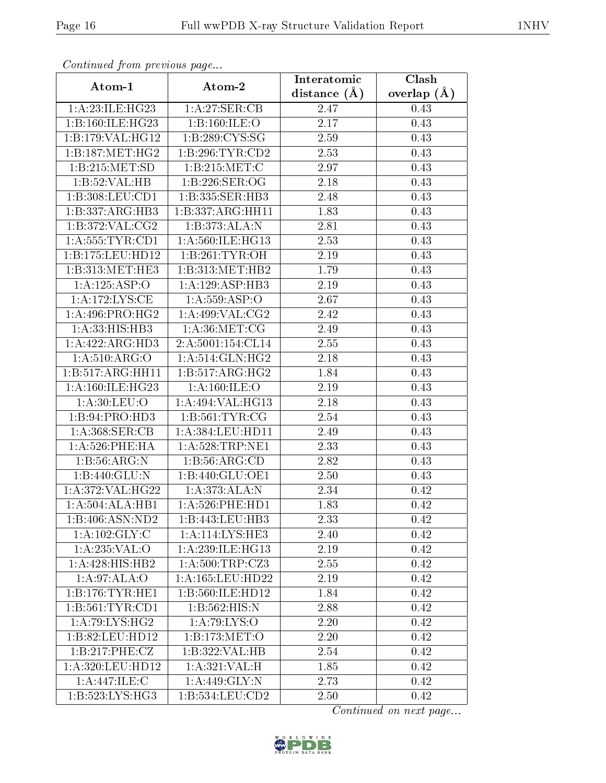| Continuou jiom protivus pugo |                      | Interatomic      | Clash           |
|------------------------------|----------------------|------------------|-----------------|
| Atom-1                       | Atom-2               | distance $(\AA)$ | overlap $(\AA)$ |
| 1:A:23:ILE:HG23              | 1:A:27:SER:CB        | 2.47             | 0.43            |
| 1:B:160:ILE:HG23             | 1:B:160:ILE:O        | 2.17             | 0.43            |
| 1:B:179:VAL:HG12             | 1:B:289:CYS:SG       | $2.59\,$         | 0.43            |
| 1:B:187:MET:HG2              | 1:B:296:TYR:CD2      | 2.53             | 0.43            |
| 1:B:215:MET:SD               | 1:B:215:MET:C        | 2.97             | 0.43            |
| 1:B:52:VAL:HB                | 1:B:226:SER:OG       | 2.18             | 0.43            |
| 1:B:308:LEU:CD1              | 1:B:335:SER:HB3      | 2.48             | 0.43            |
| 1:B:337:ARG:HB3              | 1:B:337:ARG:HH11     | 1.83             | 0.43            |
| 1: B: 372: VAL: CG2          | 1:B:373:ALA:N        | 2.81             | 0.43            |
| 1: A: 555: TYR: CD1          | 1:A:560:ILE:HG13     | 2.53             | 0.43            |
| 1:B:175:LEU:HD12             | 1:B:261:TYR:OH       | 2.19             | 0.43            |
| 1: B: 313: MET: HE3          | 1:B:313:MET:HB2      | 1.79             | 0.43            |
| 1:A:125:ASP:O                | 1:A:129:ASP:HB3      | 2.19             | 0.43            |
| 1: A:172: LYS: CE            | 1: A: 559: ASP:O     | 2.67             | 0.43            |
| 1: A:496: PRO:HG2            | 1:A:499:VAL:CG2      | 2.42             | 0.43            |
| 1:A:33:HIS:HB3               | 1: A:36: MET:CG      | 2.49             | 0.43            |
| 1:A:422:ARG:HD3              | 2:A:5001:154:CL14    | 2.55             | 0.43            |
| 1: A:510: ARG:O              | 1: A:514: GLN: HG2   | 2.18             | 0.43            |
| 1:B:517:ARG:HH11             | 1:B:517:ARG:HG2      | 1.84             | 0.43            |
| 1: A:160: ILE: HG23          | 1: A:160: ILE: O     | 2.19             | 0.43            |
| 1: A:30: LEU:O               | 1:A:494:VAL:HG13     | 2.18             | 0.43            |
| 1:B:94:PRO:HD3               | 1: B:561: TYR: CG    | 2.54             | 0.43            |
| 1: A:368: SER: CB            | 1: A: 384: LEU: HD11 | 2.49             | 0.43            |
| $1: A:526:$ PHE:HA           | 1: A:528:TRP:NE1     | 2.33             | 0.43            |
| 1: B: 56: ARG: N             | 1:B:56:ARG:CD        | 2.82             | 0.43            |
| 1:B:440:GLU:N                | 1:B:440:GLU:OE1      | 2.50             | 0.43            |
| 1:A:372:VAL:HG22             | 1: A:373:ALA:N       | 2.34             | 0.42            |
| 1:A:504:ALA:HBI              | 1: A:526: PHE: HD1   | 1.83             | 0.42            |
| 1:B:406:ASN:ND2              | 1:B:443:LEU:HB3      | 2.33             | 0.42            |
| 1: A: 102: GLY: C            | 1:A:114:LYS:HE3      | 2.40             | 0.42            |
| 1:A:235:VAL:O                | 1:A:239:ILE:HG13     | 2.19             | 0.42            |
| $1:A:428:H1\overline{S:HB2}$ | 1: A:500:TRP: CZ3    | 2.55             | 0.42            |
| 1: A:97: ALA:O               | 1:A:165:LEU:HD22     | 2.19             | 0.42            |
| 1:B:176:TYR:HE1              | 1:B:560:ILE:HD12     | 1.84             | 0.42            |
| 1: B:561: TYR:CD1            | 1:B:562:HIS:N        | 2.88             | 0.42            |
| $1:A:79:\overline{LYS:HG2}$  | 1: A:79: LYS:O       | 2.20             | 0.42            |
| 1:B:82:LEU:HD12              | 1:B:173:MET:O        | 2.20             | 0.42            |
| 1:B:217:PHE:CZ               | 1:B:322:VAL:HB       | 2.54             | 0.42            |
| 1:A:320:LEU:HD12             | 1: A:321: VAL:H      | 1.85             | 0.42            |
| 1:A:447:ILE:C                | 1:A:449:GLY:N        | 2.73             | 0.42            |
| 1:B:523:LYS:HG3              | 1:B:534:LEU:CD2      | 2.50             | 0.42            |

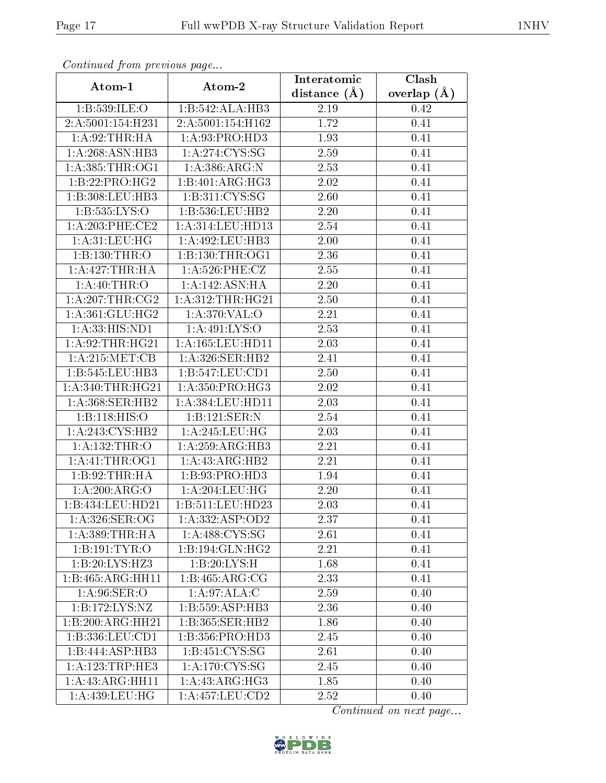| Continued from previous page |                                    | Interatomic       | Clash           |  |
|------------------------------|------------------------------------|-------------------|-----------------|--|
| Atom-1                       | Atom-2                             | distance $(\AA)$  | overlap $(\AA)$ |  |
| 1:B:539:ILE:O                | 1:B:542:ALA:HB3                    | $2.19\,$          | 0.42            |  |
| 2:A:5001:154:H231            | 2:A:5001:154:H162                  | 1.72              | 0.41            |  |
| 1:A:92:THR:HA                | 1:A:93:PRO:HD3                     | 1.93              | 0.41            |  |
| 1:A:268:ASN:HB3              | 1: A:274: CYS:SG                   | 2.59              | 0.41            |  |
| 1: A: 385: THR: OG1          | 1: A: 386: ARG: N                  | 2.53              | 0.41            |  |
| 1:B:22:PRO:HG2               | 1:B:401:ARG:HG3                    | 2.02              | 0.41            |  |
| 1:B:308:LEU:HB3              | $1: \overline{B:311:CYS:SG}$       | 2.60              | 0.41            |  |
| 1:B:535:LYS:O                | 1:B:536:LEU:HB2                    | 2.20              | 0.41            |  |
| 1: A:203:PHE:CE2             | 1:A:314:LEU:HD13                   | $\overline{2.54}$ | 0.41            |  |
| 1: A:31:LEU:HG               | 1:A:492:LEU:HB3                    | 2.00              | 0.41            |  |
| 1:B:130:THR:O                | 1: B: 130: THR: OG1                | 2.36              | 0.41            |  |
| 1:A:427:THR:HA               | $1: A:526:$ PHE:CZ                 | 2.55              | 0.41            |  |
| 1:A:40:THR:O                 | 1:A:142:ASN:HA                     | 2.20              | 0.41            |  |
| $1:A:207$ :THR:CG2           | 1: A:312:THR:HG21                  | 2.50              | 0.41            |  |
| 1: A:361: GLU:HG2            | 1:A:370:VAL:O                      | 2.21              | 0.41            |  |
| 1: A: 33: HIS: ND1           | 1: A: 491: LYS: O                  | 2.53              | 0.41            |  |
| 1:A:92:THR:HG21              | 1:A:165:LEU:HD11                   | 2.03              | 0.41            |  |
| 1: A:215: MET:CB             | 1: A:326: SER: HB2                 | 2.41              | 0.41            |  |
| 1:B:545:LEU:HB3              | 1:B:547:LEU:CD1                    | 2.50              | 0.41            |  |
| 1: A:340:THR:HG21            | 1: A:350: PRO:HG3                  | 2.02              | 0.41            |  |
| 1: A:368: SER: HB2           | 1: A: 384: LEU: HD11               | 2.03              | 0.41            |  |
| 1:B:118:HIS:O                | 1:B:121:SER:N                      | 2.54              | 0.41            |  |
| 1:A:243:CYS:HB2              | 1: A:245:LEU:HG                    | 2.03              | 0.41            |  |
| 1: A: 132: THR:O             | 1:A:259:ARG:HB3                    | 2.21              | 0.41            |  |
| 1:A:41:THR:OG1               | 1:A:43:ARG:HB2                     | 2.21              | 0.41            |  |
| 1:B:92:THR:HA                | 1:B:93:PRO:HD3                     | 1.94              | 0.41            |  |
| 1:A:200:ARG:O                | 1: A:204:LEU:HG                    | 2.20              | 0.41            |  |
| 1:B:434:LEU:HD21             | 1:B:511:LEU:HD23                   | 2.03              | 0.41            |  |
| 1:A:326:SER:OG               | 1:A:332:ASP:OD2                    | 2.37              | 0.41            |  |
| 1: A: 389: THR: HA           | 1: A:488:CYS:SG                    | 2.61              | 0.41            |  |
| 1:B:191:TYR:O                | 1:B:194:GLN:HG2                    | 2.21              | 0.41            |  |
| 1:B:20:LYS:HZ3               | 1:B:20:LYS:H                       | 1.68              | 0.41            |  |
| 1:B:465:ARG:HH11             | $1:B:465:ARG:\overline{CG}$        | 2.33              | 0.41            |  |
| 1: A:96: SER:O               | 1:A:97:ALA:C                       | 2.59              | 0.40            |  |
| 1:B:172:LYS:NZ               | 1:B:559:ASP:HB3                    | 2.36              | 0.40            |  |
| 1:B:200:ARG:HH21             | 1:B:365:SER:HB2                    | 1.86              | 0.40            |  |
| 1:B:336:LEU:CD1              | 1:B:356:PRO:HD3                    | 2.45              | 0.40            |  |
| 1:B:444:ASP:HB3              | $1:B:451:\overline{\text{CYS:SG}}$ | 2.61              | 0.40            |  |
| 1: A: 123: TRP: HE3          | 1: A:170: CYS:SG                   | 2.45              | 0.40            |  |
| 1:A:43:ARG:HH11              | 1: A: 43: ARG: HG3                 | 1.85              | 0.40            |  |
| 1:A:439:LEU:HG               | 1:A:457:LEU:CD2                    | 2.52              | 0.40            |  |

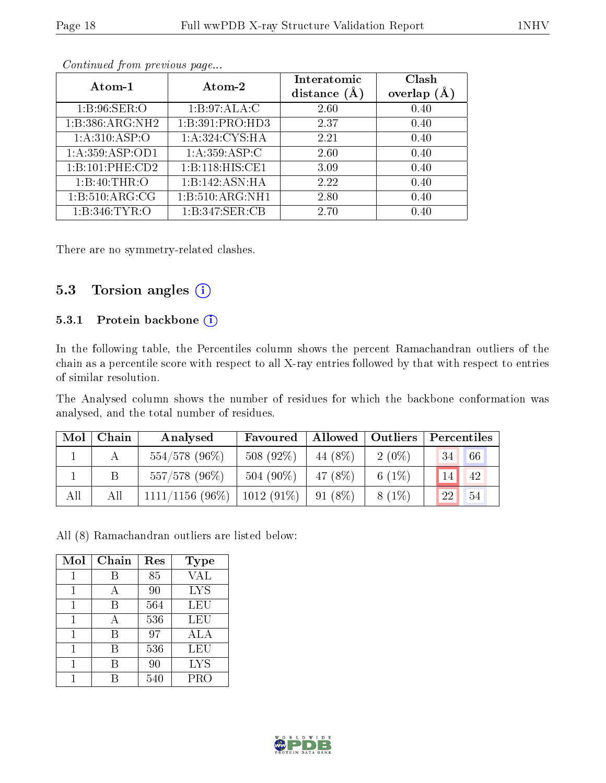| Atom-1            | Atom-2          | Interatomic<br>distance $(A)$ | Clash<br>overlap $(A)$ |
|-------------------|-----------------|-------------------------------|------------------------|
| 1: B:96: SER:O    | 1:B:97:ALA:C    | 2.60                          | 0.40                   |
| 1:B:386:ARG:NH2   | 1:B:391:PRO:HD3 | 2.37                          | 0.40                   |
| 1: A:310: ASP:O   | 1:A:324:CYS:HA  | 2.21                          | 0.40                   |
| 1:A:359:ASP:OD1   | 1: A:359: ASP:C | 2.60                          | 0.40                   |
| 1:B:101:PHE:CD2   | 1:B:118:HIS:CE1 | 3.09                          | 0.40                   |
| 1: B:40:THR:O     | 1:B:142:ASN:HA  | 2.22                          | 0.40                   |
| 1: B:510: ARG: CG | 1:B:510:ARG:NH1 | 2.80                          | 0.40                   |
| 1:B:346:TYR:O     | 1:B:347:SER:CB  | 2.70                          | 0.40                   |

There are no symmetry-related clashes.

#### 5.3 Torsion angles  $(i)$

#### 5.3.1 Protein backbone (i)

In the following table, the Percentiles column shows the percent Ramachandran outliers of the chain as a percentile score with respect to all X-ray entries followed by that with respect to entries of similar resolution.

The Analysed column shows the number of residues for which the backbone conformation was analysed, and the total number of residues.

| Mol | Chain | Analysed           | Favoured     |          | Allowed   Outliers | Percentiles     |    |
|-----|-------|--------------------|--------------|----------|--------------------|-----------------|----|
|     |       | $554/578$ (96%)    | 508 (92%)    | 44 (8\%) | $2(0\%)$           | 34 <sup>1</sup> | 66 |
|     |       | 557/578 (96%)      | 504 $(90\%)$ | 47 (8%)  | 6 $(1%)$           | 14 <sub>h</sub> | 42 |
| All | All   | $1111/1156$ (96\%) | $1012(91\%)$ | 91 (8\%) | $8(1\%)$           | 22              | 54 |

All (8) Ramachandran outliers are listed below:

| Mol | Chain | Res | <b>Type</b> |
|-----|-------|-----|-------------|
| 1   | R     | 85  | <b>VAL</b>  |
| 1   | А     | 90  | <b>LYS</b>  |
| 1   | В     | 564 | LEU         |
|     |       | 536 | LEU         |
| 1   | В     | 97  | ALA         |
|     | В     | 536 | LEU         |
|     | В     | 90  | <b>LYS</b>  |
|     |       | 540 | PRO         |

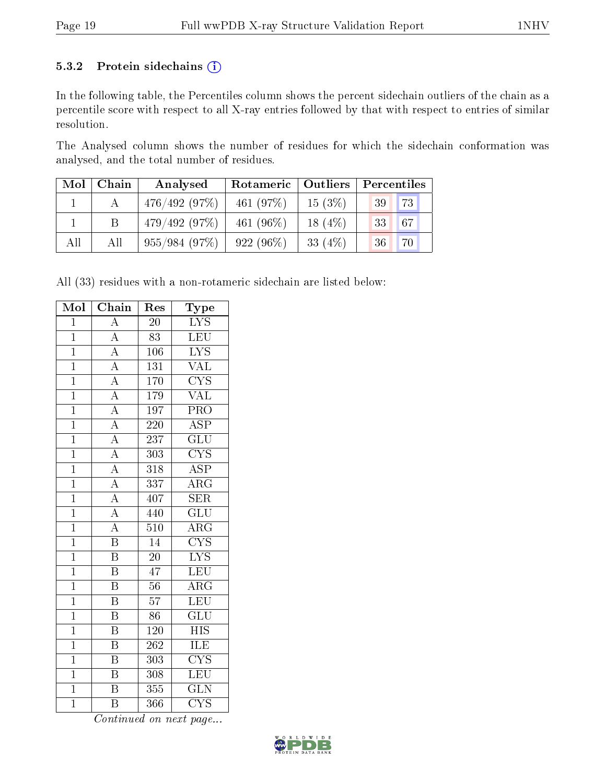#### 5.3.2 Protein sidechains (i)

In the following table, the Percentiles column shows the percent sidechain outliers of the chain as a percentile score with respect to all X-ray entries followed by that with respect to entries of similar resolution.

The Analysed column shows the number of residues for which the sidechain conformation was analysed, and the total number of residues.

| Mol | Chain | Analysed     | Rotameric   Outliers |           | Percentiles |
|-----|-------|--------------|----------------------|-----------|-------------|
|     |       | 476/492(97%) | 461 $(97%)$          | 15(3%)    | 73<br>39    |
|     |       | 479/492(97%) | 461 $(96\%)$         | $18(4\%)$ | 67 <br> 33  |
| All | All   | 955/984(97%) | $922(96\%)$          | 33 $(4%)$ | 70<br>36    |

All (33) residues with a non-rotameric sidechain are listed below:

| Mol            | Chain                    | Res              | ${\rm \bar{Type}}$      |
|----------------|--------------------------|------------------|-------------------------|
| $\mathbf{1}$   | $\overline{A}$           | 20               | $\overline{\text{LYS}}$ |
| $\overline{1}$ | $\overline{A}$           | $\overline{83}$  | LEU                     |
| $\mathbf 1$    | $\overline{A}$           | 106              | $\overline{\text{LYS}}$ |
| $\overline{1}$ | $\overline{A}$           | $\overline{131}$ | $\overline{\text{VAL}}$ |
| $\overline{1}$ | $\frac{\overline{A}}{A}$ | 170              | $\overline{\text{CYS}}$ |
| $\mathbf 1$    |                          | 179              | $\overline{\text{VAL}}$ |
| $\overline{1}$ | $\overline{A}$           | 197              | PRO                     |
| $\overline{1}$ | $\overline{A}$           | 220              | $\overline{\text{ASP}}$ |
| $\overline{1}$ | $\overline{A}$           | 237              | $\overline{{\rm GLU}}$  |
| $\overline{1}$ | $\overline{A}$           | 303              | $\overline{\text{CYS}}$ |
| $\mathbf{1}$   | $\overline{A}$           | 318              | $\overline{\text{ASP}}$ |
| $\overline{1}$ | $\overline{A}$           | 337              | $\overline{\rm{ARG}}$   |
| $\mathbf{1}$   | $\overline{A}$           | 407              | <b>SER</b>              |
| $\overline{1}$ | $\overline{A}$           | 440              | $\overline{\text{GLU}}$ |
| $\overline{1}$ | $\overline{A}$           | 510              | $\overline{\rm ARG}$    |
| $\mathbf{1}$   | $\overline{\text{B}}$    | $\overline{14}$  | $\overline{\text{CYS}}$ |
| $\overline{1}$ | $\overline{\mathrm{B}}$  | $\overline{20}$  | $\overline{\text{LYS}}$ |
| $\overline{1}$ | B                        | 47               | <b>LEU</b>              |
| $\overline{1}$ | $\overline{\mathrm{B}}$  | $\overline{56}$  | $\overline{\rm{ARG}}$   |
| $\overline{1}$ | $\overline{\mathrm{B}}$  | 57               | LEU                     |
| $\overline{1}$ | B                        | 86               | $\widetilde{{\rm GLU}}$ |
| $\overline{1}$ | $\overline{\mathrm{B}}$  | 120              | <b>HIS</b>              |
| $\mathbf{1}$   | $\overline{\mathrm{B}}$  | 262              | ILE                     |
| $\overline{1}$ | $\overline{\mathrm{B}}$  | 303              | $\overline{\text{CYS}}$ |
| $\mathbf{1}$   | $\overline{\mathrm{B}}$  | 308              | LEU                     |
| $\mathbf{1}$   | $\overline{\rm B}$       | $\overline{355}$ | $\overline{\text{GLN}}$ |
| $\overline{1}$ | B                        | 366              | $\overline{\text{CYS}}$ |

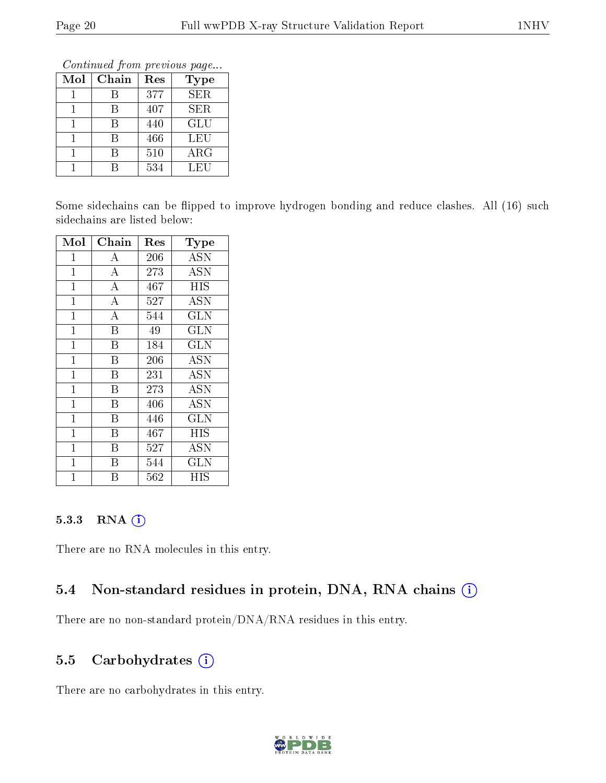Continued from previous page...

| Mol | Chain | Res | Type       |
|-----|-------|-----|------------|
|     |       | 377 | SER.       |
|     |       | 407 | SER        |
|     |       | 440 | GLU        |
|     | R     | 466 | LEU        |
|     | R     | 510 | $\rm{ARG}$ |
|     |       | 534 | LEU        |

Some sidechains can be flipped to improve hydrogen bonding and reduce clashes. All (16) such sidechains are listed below:

| Mol            | ${\rm Chain}$           | $\operatorname{Res}% \left( \mathcal{N}\right) \equiv\operatorname{Res}(\mathcal{N}_{0})\cap\mathcal{N}_{1}$ | Type                 |
|----------------|-------------------------|--------------------------------------------------------------------------------------------------------------|----------------------|
| $\mathbf{1}$   | А                       | 206                                                                                                          | <b>ASN</b>           |
| $\mathbf 1$    | $\boldsymbol{A}$        | 273                                                                                                          | <b>ASN</b>           |
| $\mathbf{1}$   | $\overline{\rm A}$      | 467                                                                                                          | <b>HIS</b>           |
| $\mathbf{1}$   | A                       | 527                                                                                                          | <b>ASN</b>           |
| $\mathbf{1}$   | $\bf{A}$                | 544                                                                                                          | <b>GLN</b>           |
| 1              | $\overline{\mathrm{B}}$ | 49                                                                                                           | GLN                  |
| $\mathbf 1$    | B                       | 184                                                                                                          | <b>GLN</b>           |
| $\mathbf{1}$   | $\overline{B}$          | 206                                                                                                          | <b>ASN</b>           |
| $\mathbf{1}$   | B                       | 231                                                                                                          | <b>ASN</b>           |
| $\mathbf{1}$   | B                       | 273                                                                                                          | <b>ASN</b>           |
| $\mathbf{1}$   | B                       | 406                                                                                                          | <b>ASN</b>           |
| $\mathbf{1}$   | B                       | 446                                                                                                          | <b>GLN</b>           |
| $\mathbf{1}$   | B                       | 467                                                                                                          | <b>HIS</b>           |
| $\mathbf{1}$   | Β                       | 527                                                                                                          | <b>ASN</b>           |
| $\overline{1}$ | B                       | 544                                                                                                          | $\rm GL\overline{N}$ |
| 1              | В                       | 562                                                                                                          | HIS                  |

#### 5.3.3 RNA (1)

There are no RNA molecules in this entry.

#### 5.4 Non-standard residues in protein, DNA, RNA chains (i)

There are no non-standard protein/DNA/RNA residues in this entry.

#### 5.5 Carbohydrates (i)

There are no carbohydrates in this entry.

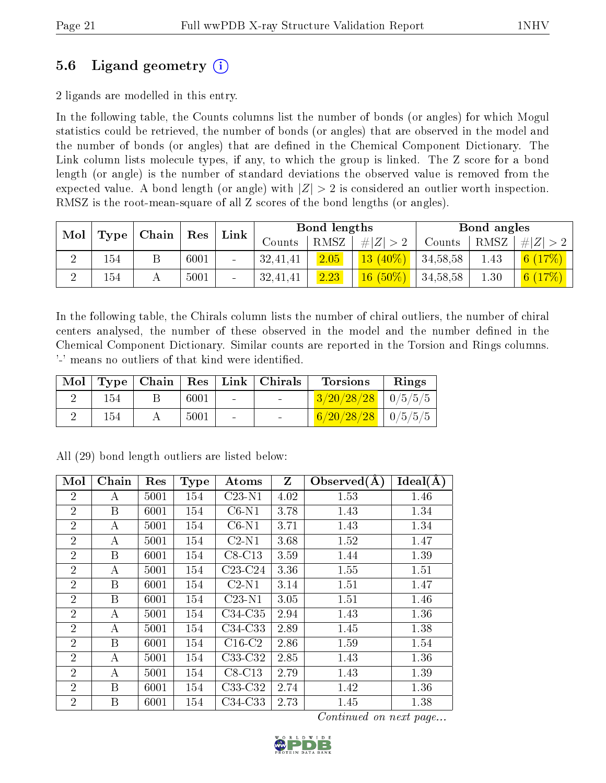### 5.6 Ligand geometry (i)

2 ligands are modelled in this entry.

In the following table, the Counts columns list the number of bonds (or angles) for which Mogul statistics could be retrieved, the number of bonds (or angles) that are observed in the model and the number of bonds (or angles) that are dened in the Chemical Component Dictionary. The Link column lists molecule types, if any, to which the group is linked. The Z score for a bond length (or angle) is the number of standard deviations the observed value is removed from the expected value. A bond length (or angle) with  $|Z| > 2$  is considered an outlier worth inspection. RMSZ is the root-mean-square of all Z scores of the bond lengths (or angles).

| Mol    |      | Chain | Res  | ${\rm Link}$             |               | <b>Bond lengths</b> |             |            | Bond angles |   |
|--------|------|-------|------|--------------------------|---------------|---------------------|-------------|------------|-------------|---|
|        | Type |       |      |                          | $\rm{Counts}$ | RMSZ                | Z  > 2<br># | Counts     | RMSZ        | Z |
| ച<br>↵ | 154  |       | 6001 | $\overline{\phantom{a}}$ | 32,41,41      | 2.05                | $13(40\%)$  | 34,58,58   | 1.43        |   |
|        | 154  |       | 5001 | $\sim$                   | 32,41,41      | 2.23                | $16(50\%)$  | 34, 58, 58 | 1.30        |   |

In the following table, the Chirals column lists the number of chiral outliers, the number of chiral centers analysed, the number of these observed in the model and the number defined in the Chemical Component Dictionary. Similar counts are reported in the Torsion and Rings columns. '-' means no outliers of that kind were identified.

| Mol |     |      |            | Type   Chain   Res   Link   Chirals | <b>Torsions</b>          | Rings |
|-----|-----|------|------------|-------------------------------------|--------------------------|-------|
|     | 154 | 6001 | $\sim 100$ |                                     | $3/20/28/28$   $0/5/5/5$ |       |
|     | 154 | 5001 | $\sim$     |                                     | $6/20/28/28$   $0/5/5/5$ |       |

| Mol            | Chain | Res  | <b>Type</b> | Atoms     | $\mathbf{Z}$ | Observed $(A)$ | Ideal(A) |
|----------------|-------|------|-------------|-----------|--------------|----------------|----------|
| $\overline{2}$ | А     | 5001 | 154         | $C23-N1$  | 4.02         | 1.53           | 1.46     |
| $\overline{2}$ | Β     | 6001 | 154         | $C6-N1$   | 3.78         | 1.43           | 1.34     |
| $\overline{2}$ | А     | 5001 | 154         | $C6-N1$   | 3.71         | 1.43           | 1.34     |
| $\overline{2}$ | А     | 5001 | 154         | $C2-N1$   | 3.68         | 1.52           | 1.47     |
| $\overline{2}$ | Β     | 6001 | 154         | $C8-C13$  | 3.59         | 1.44           | 1.39     |
| $\overline{2}$ | А     | 5001 | 154         | $C23-C24$ | 3.36         | 1.55           | 1.51     |
| $\overline{2}$ | Β     | 6001 | 154         | $C2-N1$   | 3.14         | 1.51           | 1.47     |
| $\overline{2}$ | Β     | 6001 | 154         | $C23-N1$  | 3.05         | 1.51           | 1.46     |
| $\overline{2}$ | А     | 5001 | 154         | C34-C35   | 2.94         | 1.43           | 1.36     |
| $\overline{2}$ | А     | 5001 | 154         | C34-C33   | 2.89         | 1.45           | 1.38     |
| $\overline{2}$ | Β     | 6001 | 154         | $C16-C2$  | 2.86         | 1.59           | 1.54     |
| $\overline{2}$ | А     | 5001 | 154         | C33-C32   | 2.85         | 1.43           | 1.36     |
| $\overline{2}$ | А     | 5001 | 154         | $C8-C13$  | 2.79         | 1.43           | 1.39     |
| $\overline{2}$ | Β     | 6001 | 154         | $C33-C32$ | 2.74         | 1.42           | 1.36     |
| $\overline{2}$ | B     | 6001 | 154         | $C34-C33$ | 2.73         | 1.45           | 1.38     |

All (29) bond length outliers are listed below:

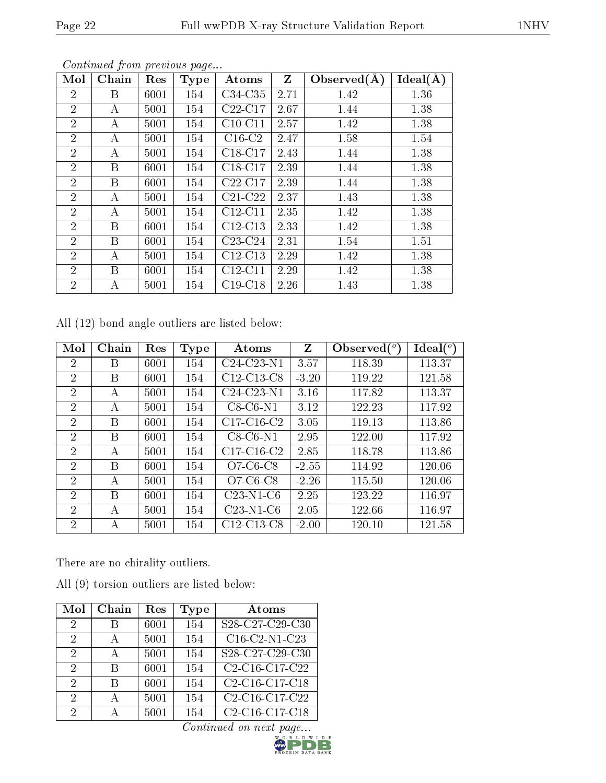|--|

| Mol            | Chain        | Res  | Type | Atoms                                     | $Z_{\parallel}$ | Observed $(A)$ | $Ideal(\AA)$ |
|----------------|--------------|------|------|-------------------------------------------|-----------------|----------------|--------------|
| $\overline{2}$ | $\mathbf{B}$ | 6001 | 154  | $C34-C35$                                 | 2.71            | 1.42           | 1.36         |
| $\overline{2}$ | A            | 5001 | 154  | $C22-C17$                                 | 2.67            | 1.44           | 1.38         |
| $\overline{2}$ | A            | 5001 | 154  | $C10-C11$                                 | 2.57            | 1.42           | 1.38         |
| $\overline{2}$ | A            | 5001 | 154  | $C16-C2$                                  | 2.47            | 1.58           | 1.54         |
| $\overline{2}$ | A            | 5001 | 154  | C <sub>18</sub> -C <sub>17</sub>          | 2.43            | 1.44           | 1.38         |
| $\overline{2}$ | $\mathbf{B}$ | 6001 | 154  | C18-C17                                   | 2.39            | 1.44           | 1.38         |
| $\overline{2}$ | $\mathbf{B}$ | 6001 | 154  | $C22-C17$                                 | 2.39            | 1.44           | 1.38         |
| $\overline{2}$ | A            | 5001 | 154  | $\overline{\text{C}}21\text{-}\text{C}22$ | 2.37            | 1.43           | 1.38         |
| $\overline{2}$ | A            | 5001 | 154  | $C12-C11$                                 | 2.35            | 1.42           | 1.38         |
| $\overline{2}$ | $\mathbf{B}$ | 6001 | 154  | $C12-C13$                                 | 2.33            | 1.42           | 1.38         |
| $\overline{2}$ | $\mathbf{B}$ | 6001 | 154  | $C23-C24$                                 | 2.31            | 1.54           | 1.51         |
| $\overline{2}$ | A            | 5001 | 154  | $C12-C13$                                 | 2.29            | 1.42           | 1.38         |
| $\overline{2}$ | B            | 6001 | 154  | $C12-C11$                                 | 2.29            | 1.42           | 1.38         |
| $\overline{2}$ | A            | 5001 | 154  | $C19-C18$                                 | 2.26            | 1.43           | 1.38         |

All (12) bond angle outliers are listed below:

| Mol            | Chain | Res  | Type | Atoms        | Z       | Observed $(°)$ | $\text{Ideal}({}^o)$ |
|----------------|-------|------|------|--------------|---------|----------------|----------------------|
| 2              | B     | 6001 | 154  | $C24-C23-N1$ | 3.57    | 118.39         | 113.37               |
| $\overline{2}$ | B     | 6001 | 154  | $C12-C13-C8$ | $-3.20$ | 119.22         | 121.58               |
| $\overline{2}$ | A     | 5001 | 154  | $C24-C23-N1$ | 3.16    | 117.82         | 113.37               |
| $\overline{2}$ | А     | 5001 | 154  | $C8-C6-N1$   | 3.12    | 122.23         | 117.92               |
| $\overline{2}$ | B     | 6001 | 154  | $C17-C16-C2$ | 3.05    | 119.13         | 113.86               |
| $\overline{2}$ | B     | 6001 | 154  | $C8-C6-N1$   | 2.95    | 122.00         | 117.92               |
| $\overline{2}$ | A     | 5001 | 154  | $C17-C16-C2$ | 2.85    | 118.78         | 113.86               |
| $\overline{2}$ | B     | 6001 | 154  | $O7-C6-C8$   | $-2.55$ | 114.92         | 120.06               |
| 2              | А     | 5001 | 154  | $O7-C6-C8$   | $-2.26$ | 115.50         | 120.06               |
| $\overline{2}$ | B     | 6001 | 154  | $C23-N1-C6$  | 2.25    | 123.22         | 116.97               |
| $\overline{2}$ | А     | 5001 | 154  | $C23-N1-C6$  | 2.05    | 122.66         | 116.97               |
| $\overline{2}$ | А     | 5001 | 154  | $C12-C13-C8$ | $-2.00$ | 120.10         | 121.58               |

There are no chirality outliers.

All (9) torsion outliers are listed below:

| Mol           | Chain        | Res  | Type | Atoms                                                             |
|---------------|--------------|------|------|-------------------------------------------------------------------|
| $\mathcal{D}$ |              | 6001 | 154  | S28-C27-C29-C30                                                   |
| $\mathcal{D}$ | А            | 5001 | 154  | $C16$ -C2-N1- $\overline{C23}$                                    |
| $\mathcal{D}$ | $\mathbf{A}$ | 5001 | 154  | S28-C27-C29-C30                                                   |
| $\mathcal{D}$ | R            | 6001 | 154  | C2-C16-C17-C22                                                    |
| 2             | R            | 6001 | 154  | C2-C16-C17-C18                                                    |
| 2             | $\mathsf{A}$ | 5001 | 154  | C <sub>2</sub> -C <sub>16</sub> -C <sub>17</sub> -C <sub>22</sub> |
| 2             |              | 5001 | 154  | C <sub>2</sub> -C <sub>16</sub> -C <sub>17</sub> -C <sub>18</sub> |

 $\overline{Continued\ on\ next\ page...}_{\substack{w_0\ R\ L\ D\ W\ L\ D}}$ 

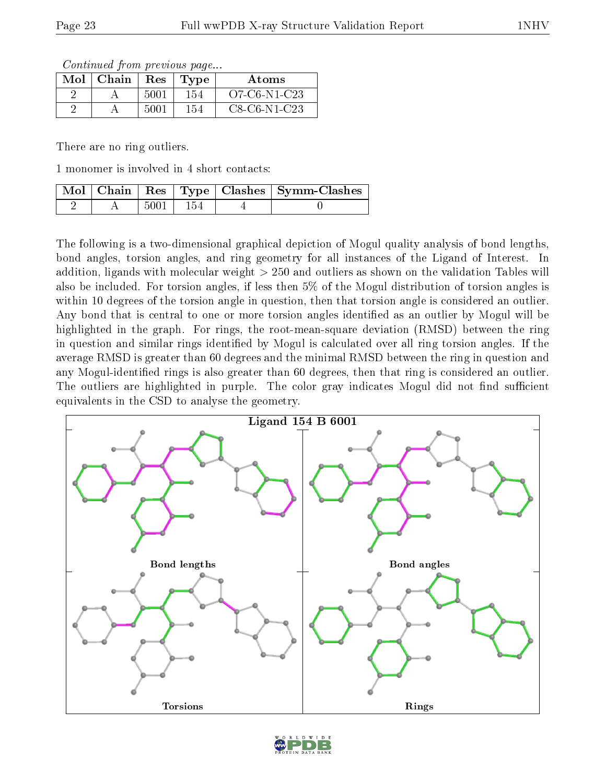Continued from previous page...

| $Mol$   Chain | $\operatorname{Res}$ | $\Gamma$ Type | Atoms          |
|---------------|----------------------|---------------|----------------|
|               | 5001                 | 154           | $O7-C6-N1-C23$ |
|               | 5001                 | 154           | $C8-C6-N1-C23$ |

There are no ring outliers.

1 monomer is involved in 4 short contacts:

|  |            |       | $\mid$ Mol $\mid$ Chain $\mid$ Res $\mid$ Type $\mid$ Clashes $\mid$ Symm-Clashes |
|--|------------|-------|-----------------------------------------------------------------------------------|
|  | $5001 \pm$ | - 154 |                                                                                   |

The following is a two-dimensional graphical depiction of Mogul quality analysis of bond lengths, bond angles, torsion angles, and ring geometry for all instances of the Ligand of Interest. In addition, ligands with molecular weight > 250 and outliers as shown on the validation Tables will also be included. For torsion angles, if less then 5% of the Mogul distribution of torsion angles is within 10 degrees of the torsion angle in question, then that torsion angle is considered an outlier. Any bond that is central to one or more torsion angles identified as an outlier by Mogul will be highlighted in the graph. For rings, the root-mean-square deviation (RMSD) between the ring in question and similar rings identified by Mogul is calculated over all ring torsion angles. If the average RMSD is greater than 60 degrees and the minimal RMSD between the ring in question and any Mogul-identified rings is also greater than 60 degrees, then that ring is considered an outlier. The outliers are highlighted in purple. The color gray indicates Mogul did not find sufficient equivalents in the CSD to analyse the geometry.



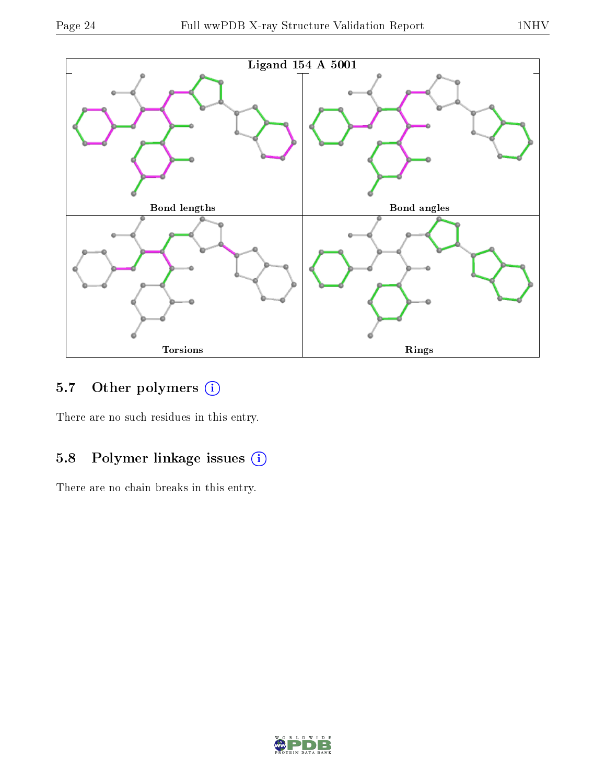

### 5.7 [O](https://www.wwpdb.org/validation/2017/XrayValidationReportHelp#nonstandard_residues_and_ligands)ther polymers (i)

There are no such residues in this entry.

### 5.8 Polymer linkage issues (i)

There are no chain breaks in this entry.

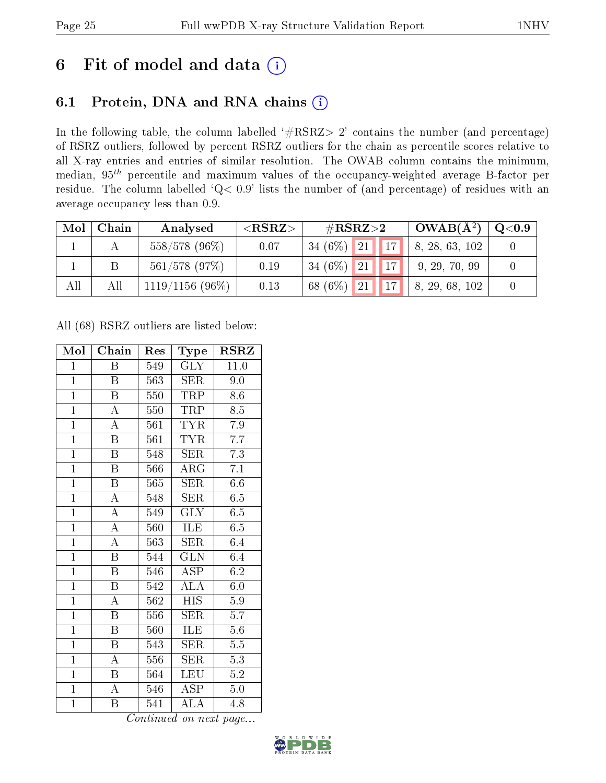# 6 Fit of model and data  $(i)$

### 6.1 Protein, DNA and RNA chains  $(i)$

In the following table, the column labelled  $#RSRZ> 2'$  contains the number (and percentage) of RSRZ outliers, followed by percent RSRZ outliers for the chain as percentile scores relative to all X-ray entries and entries of similar resolution. The OWAB column contains the minimum, median,  $95<sup>th</sup>$  percentile and maximum values of the occupancy-weighted average B-factor per residue. The column labelled ' $Q< 0.9$ ' lists the number of (and percentage) of residues with an average occupancy less than 0.9.

| Mol | Chain | Analysed          | ${ <\hspace{-1.5pt}{\mathrm{RSRZ}} \hspace{-1.5pt}>}$ | $\#\text{RSRZ}{>}2$ |  | $\vert$ OWAB( $A^2$ ) | $\mathrm{Q}{<}0.9$           |  |
|-----|-------|-------------------|-------------------------------------------------------|---------------------|--|-----------------------|------------------------------|--|
|     |       | 558/578 (96%)     | 0.07                                                  | $34(6\%)$ 21        |  | $\parallel$ 17        | $\vert 8, 28, 63, 102 \vert$ |  |
|     |       | $561/578$ (97%)   | 0.19                                                  | $34(6\%)$ 21        |  | $\vert$ 17 $\vert$    | 9, 29, 70, 99                |  |
| All | All   | $1119/1156(96\%)$ | 0.13                                                  | 68 (6\%) 21         |  | $\vert$ 17 $\vert$    | 8, 29, 68, 102               |  |

All (68) RSRZ outliers are listed below:

| Mol            | Chain                   | Res              | Type                    | RSRZ             |
|----------------|-------------------------|------------------|-------------------------|------------------|
| $\mathbf{1}$   | Β                       | 549              | <b>GLY</b>              | 11.0             |
| $\overline{1}$ | Β                       | 563              | <b>SER</b>              | 9.0              |
| $\overline{1}$ | $\overline{\mathrm{B}}$ | 550              | <b>TRP</b>              | 8.6              |
| $\overline{1}$ | $\boldsymbol{A}$        | 550              | TRP                     | 8.5              |
| $\overline{1}$ | $\overline{\rm A}$      | 561              | <b>TYR</b>              | 7.9              |
| $\overline{1}$ | $\boldsymbol{B}$        | 561              | <b>TYR</b>              | 7.7              |
| $\overline{1}$ | $\boldsymbol{B}$        | 548              | SER                     | 7.3              |
| $\overline{1}$ | $\overline{\mathbf{B}}$ | 566              | $\rm{ARG}$              | $\overline{7.1}$ |
| $\overline{1}$ | $\boldsymbol{B}$        | 565              | SER                     | $6.\overline{6}$ |
| $\overline{1}$ | $\overline{\rm A}$      | 548              | <b>SER</b>              | 6.5              |
| $\overline{1}$ | $\overline{\rm A}$      | 549              | <b>GLY</b>              | 6.5              |
| $\overline{1}$ | $\overline{A}$          | 560              | ILE                     | 6.5              |
| $\overline{1}$ | $\overline{\rm A}$      | 563              | <b>SER</b>              | 6.4              |
| $\overline{1}$ | $\overline{\mathrm{B}}$ | 544              | $\widetilde{{\rm GLN}}$ | 6.4              |
| $\overline{1}$ | $\overline{\mathrm{B}}$ | 546              | $\overline{\text{ASP}}$ | 6.2              |
| $\mathbf{1}$   | $\boldsymbol{B}$        | 542              | $\overline{\rm ALA}$    | $6.\overline{0}$ |
| $\overline{1}$ | $\overline{\rm A}$      | $\overline{562}$ | $\overline{HIS}$        | 5.9              |
| $\overline{1}$ | B                       | 556              | <b>SER</b>              | 5.7              |
| $\overline{1}$ | $\overline{\mathrm{B}}$ | 560              | ILE                     | $5.6\,$          |
| $\overline{1}$ | $\overline{B}$          | 543              | SER                     | 5.5              |
| $\overline{1}$ | $\overline{\rm A}$      | 556              | $\overline{\text{SER}}$ | 5.3              |
| $\overline{1}$ | Β                       | 564              | LEU                     | $\overline{5.2}$ |
| $\mathbf{1}$   | A                       | 546              | <b>ASP</b>              | $5.0\,$          |
| $\mathbf{1}$   | Β                       | 541              | $\overline{\rm ALA}$    | 4.8              |

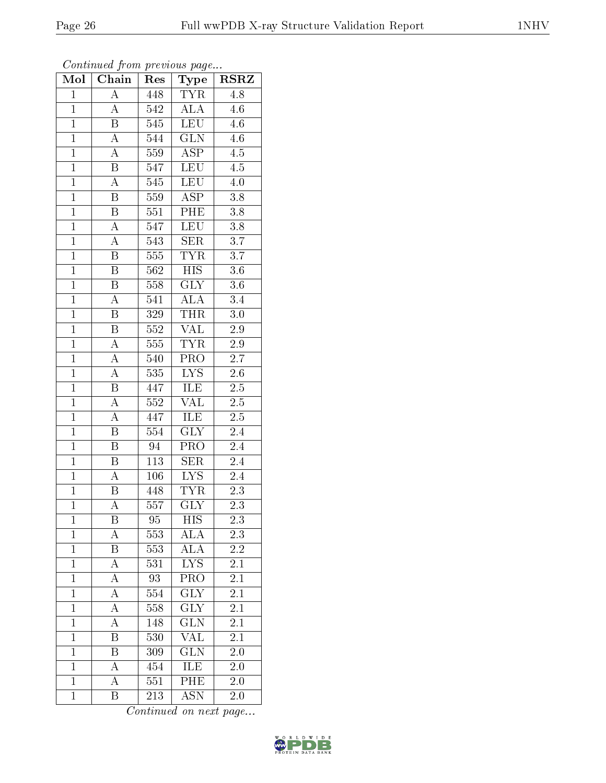| Mol            | <b>Chain</b>            | Res              | Type                    | <b>RSRZ</b>      |  |
|----------------|-------------------------|------------------|-------------------------|------------------|--|
| $\mathbf 1$    | A                       | 448              | <b>TYR</b>              | 4.8              |  |
| $\mathbf 1$    | $\boldsymbol{A}$        | 542              | $\overline{\text{ALA}}$ | 4.6              |  |
| $\overline{1}$ | $\overline{\mathrm{B}}$ | 545              | LEU                     | 4.6              |  |
| $\overline{1}$ | $\boldsymbol{A}$        | $\overline{544}$ | $\overline{\text{GLN}}$ | 4.6              |  |
| $\overline{1}$ | $\overline{\rm A}$      | 559              | $\overline{\text{ASP}}$ | $\overline{4.5}$ |  |
| $\mathbf{1}$   | B                       | 547              | <b>LEU</b>              | 4.5              |  |
| $\mathbf{1}$   | A                       | 545              | LEU                     | $4.0\,$          |  |
| $\mathbf{1}$   | B                       | 559              | $\overline{\text{ASP}}$ | 3.8              |  |
| $\overline{1}$ | $\, {\bf B}$            | 551              | PHE                     | 3.8              |  |
| $\overline{1}$ | $\overline{A}$          | 547              | <b>LEU</b>              | $\overline{3.8}$ |  |
| $\mathbf{1}$   | $\overline{\rm A}$      | 543              | <b>SER</b>              | 3.7              |  |
| $\mathbf{1}$   | $\overline{\mathrm{B}}$ | 555              | <b>TYR</b>              | 3.7              |  |
| $\overline{1}$ | $\overline{\text{B}}$   | 562              | $\overline{HIS}$        | 3.6              |  |
| $\overline{1}$ | Β                       | 558              | $\overline{\text{GLY}}$ | $3.6\,$          |  |
| $\overline{1}$ | $\overline{\rm A}$      | 541              | $\overline{\rm ALA}$    | $\overline{3.4}$ |  |
| $\mathbf{1}$   | Β                       | 329              | <b>THR</b>              | $3.0\,$          |  |
| $\overline{1}$ | $\overline{\mathrm{B}}$ | $\overline{552}$ | <b>VAL</b>              | $\overline{2.9}$ |  |
| $\mathbf{1}$   | $\boldsymbol{A}$        | 555              | <b>TYR</b>              | 2.9              |  |
| $\overline{1}$ | A                       | 540              | PRO                     | 2.7              |  |
| $\overline{1}$ | $\overline{\rm A}$      | 535              | $\overline{\text{LYS}}$ | $2.6\,$          |  |
| $\overline{1}$ | $\, {\bf B}$            | 447              | ILE                     | $2.5\,$          |  |
| $\overline{1}$ | $\overline{\rm A}$      | 552              | <b>VAL</b>              | $2.5\,$          |  |
| $\overline{1}$ | A                       | 447              | ILE                     | $2.5\,$          |  |
| $\overline{1}$ | $\overline{\mathrm{B}}$ | 554              | $\overline{\text{GLY}}$ | 2.4              |  |
| $\mathbf{1}$   | B                       | 94               | PRO                     | $2.4\,$          |  |
| $\mathbf{1}$   | B                       | 113              | <b>SER</b>              | 2.4              |  |
| $\mathbf{1}$   | A                       | 106              | $\overline{\text{LYS}}$ | 2.4              |  |
| $\overline{1}$ | $\overline{B}$          | 448              | <b>TYR</b>              | 2.3              |  |
| $\overline{1}$ | $\overline{\rm A}$      | 557              | $\overline{\text{GLY}}$ | $\overline{2.3}$ |  |
| $\mathbf{1}$   | Β                       | 95               | <b>HIS</b>              | 2.3              |  |
| $\mathbf{1}$   | A                       | 553              | ALA                     | $2.3\,$          |  |
| $\mathbf{1}$   | $\overline{\mathrm{B}}$ | 553              | $\overline{\rm ALA}$    | $\overline{2.2}$ |  |
| $\mathbf{1}$   | $\overline{\rm A}$      | 531              | LYS                     | $2.\overline{1}$ |  |
| $\mathbf{1}$   | $\overline{\rm A}$      | $\overline{93}$  | $\overline{\text{PRO}}$ | $\overline{2.1}$ |  |
| $\mathbf{1}$   | A                       | 554              | <b>GLY</b>              | 2.1              |  |
| $\mathbf{1}$   | $\overline{\rm A}$      | 558              | <b>GLY</b>              | $\overline{2.1}$ |  |
| $\mathbf{1}$   | A                       | 148              | $\overline{{\rm GLN}}$  | $\overline{2.1}$ |  |
| $\overline{1}$ | B                       | 530              | VAL                     | $\overline{2.1}$ |  |
| $\mathbf{1}$   | Β                       | 309              | $\overline{\text{GLN}}$ | $2.0\,$          |  |
| $\mathbf{1}$   | A                       | 454              | ILE                     | 2.0              |  |
| $\mathbf{1}$   | A                       | 551              | PHE                     | 2.0              |  |
| $\mathbf{1}$   | Β                       | 213              | <b>ASN</b>              | $2.0\,$          |  |

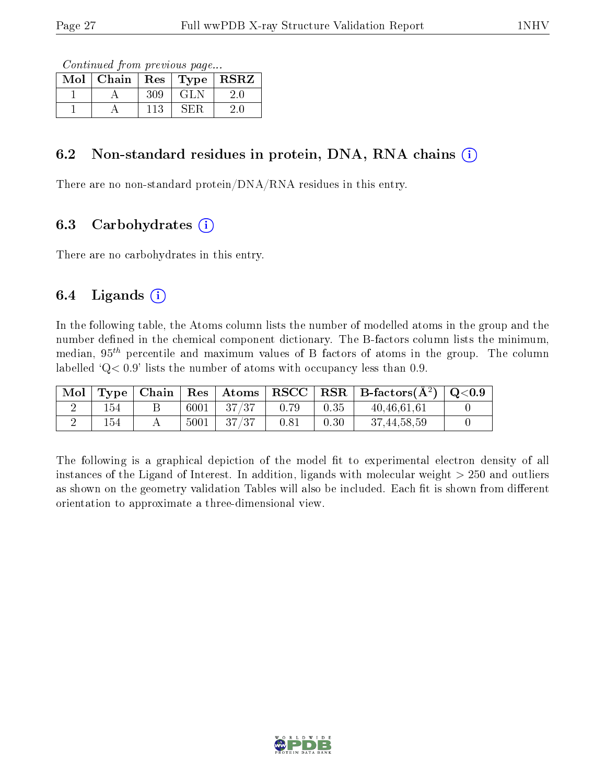Continued from previous page...

| Mol | Chain | $\mid$ Res | Type | <b>RSRZ</b> |
|-----|-------|------------|------|-------------|
|     |       | 309        | -GLN |             |
|     |       | 113        | ÷Н.  |             |

#### 6.2 Non-standard residues in protein, DNA, RNA chains  $(i)$

There are no non-standard protein/DNA/RNA residues in this entry.

### 6.3 Carbohydrates  $(i)$

There are no carbohydrates in this entry.

### 6.4 Ligands  $(i)$

In the following table, the Atoms column lists the number of modelled atoms in the group and the number defined in the chemical component dictionary. The B-factors column lists the minimum, median,  $95<sup>th</sup>$  percentile and maximum values of B factors of atoms in the group. The column labelled  $Q < 0.9$ ' lists the number of atoms with occupancy less than 0.9.

| Mol |     |      |          |      |      | $\top$ Type   Chain   Res   Atoms   RSCC   RSR   B-factors $(\rm \AA^2)$   Q<0.9 |  |
|-----|-----|------|----------|------|------|----------------------------------------------------------------------------------|--|
|     | 154 | 6001 | $-37/37$ | 0.79 | 0.35 | 40.46.61.61                                                                      |  |
|     | 154 | 5001 | -37/37   | 0.81 | 0.30 | 37, 44, 58, 59                                                                   |  |

The following is a graphical depiction of the model fit to experimental electron density of all instances of the Ligand of Interest. In addition, ligands with molecular weight  $> 250$  and outliers as shown on the geometry validation Tables will also be included. Each fit is shown from different orientation to approximate a three-dimensional view.

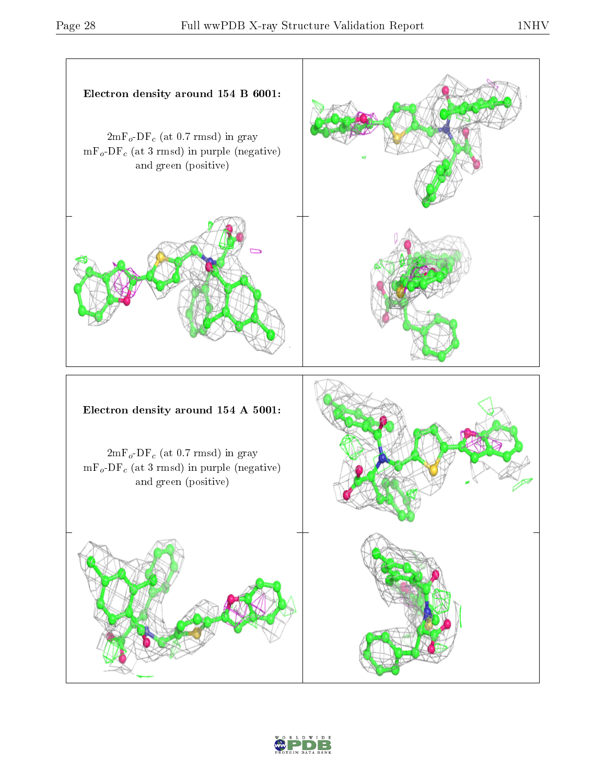